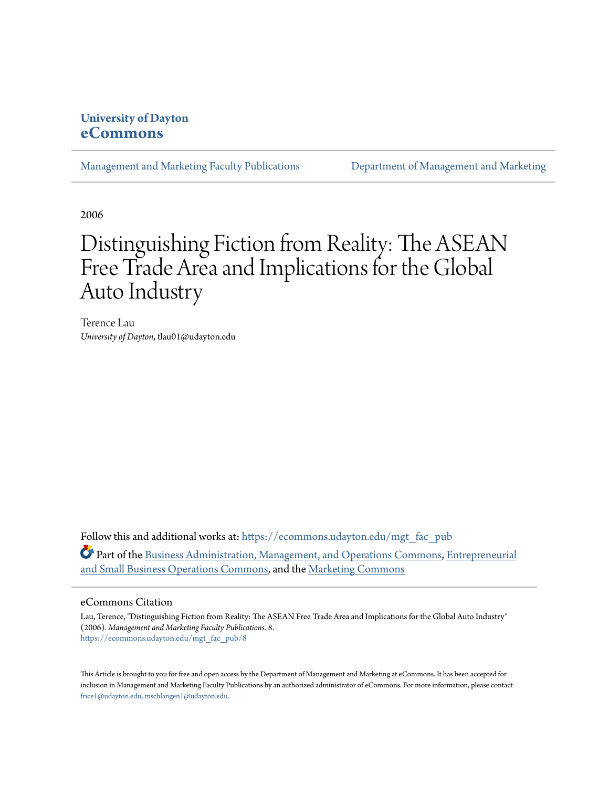# **University of Dayton [eCommons](https://ecommons.udayton.edu?utm_source=ecommons.udayton.edu%2Fmgt_fac_pub%2F8&utm_medium=PDF&utm_campaign=PDFCoverPages)**

[Management and Marketing Faculty Publications](https://ecommons.udayton.edu/mgt_fac_pub?utm_source=ecommons.udayton.edu%2Fmgt_fac_pub%2F8&utm_medium=PDF&utm_campaign=PDFCoverPages) [Department of Management and Marketing](https://ecommons.udayton.edu/mgt?utm_source=ecommons.udayton.edu%2Fmgt_fac_pub%2F8&utm_medium=PDF&utm_campaign=PDFCoverPages)

2006

# Distinguishing Fiction from Reality: The ASEAN Free Trade Area and Implications for the Global Auto Industry

Terence Lau *University of Dayton*, tlau01@udayton.edu

Follow this and additional works at: [https://ecommons.udayton.edu/mgt\\_fac\\_pub](https://ecommons.udayton.edu/mgt_fac_pub?utm_source=ecommons.udayton.edu%2Fmgt_fac_pub%2F8&utm_medium=PDF&utm_campaign=PDFCoverPages) Part of the [Business Administration, Management, and Operations Commons](http://network.bepress.com/hgg/discipline/623?utm_source=ecommons.udayton.edu%2Fmgt_fac_pub%2F8&utm_medium=PDF&utm_campaign=PDFCoverPages), [Entrepreneurial](http://network.bepress.com/hgg/discipline/630?utm_source=ecommons.udayton.edu%2Fmgt_fac_pub%2F8&utm_medium=PDF&utm_campaign=PDFCoverPages) [and Small Business Operations Commons,](http://network.bepress.com/hgg/discipline/630?utm_source=ecommons.udayton.edu%2Fmgt_fac_pub%2F8&utm_medium=PDF&utm_campaign=PDFCoverPages) and the [Marketing Commons](http://network.bepress.com/hgg/discipline/638?utm_source=ecommons.udayton.edu%2Fmgt_fac_pub%2F8&utm_medium=PDF&utm_campaign=PDFCoverPages)

#### eCommons Citation

Lau, Terence, "Distinguishing Fiction from Reality: The ASEAN Free Trade Area and Implications for the Global Auto Industry" (2006). *Management and Marketing Faculty Publications*. 8. [https://ecommons.udayton.edu/mgt\\_fac\\_pub/8](https://ecommons.udayton.edu/mgt_fac_pub/8?utm_source=ecommons.udayton.edu%2Fmgt_fac_pub%2F8&utm_medium=PDF&utm_campaign=PDFCoverPages)

This Article is brought to you for free and open access by the Department of Management and Marketing at eCommons. It has been accepted for inclusion in Management and Marketing Faculty Publications by an authorized administrator of eCommons. For more information, please contact [frice1@udayton.edu, mschlangen1@udayton.edu.](mailto:frice1@udayton.edu,%20mschlangen1@udayton.edu)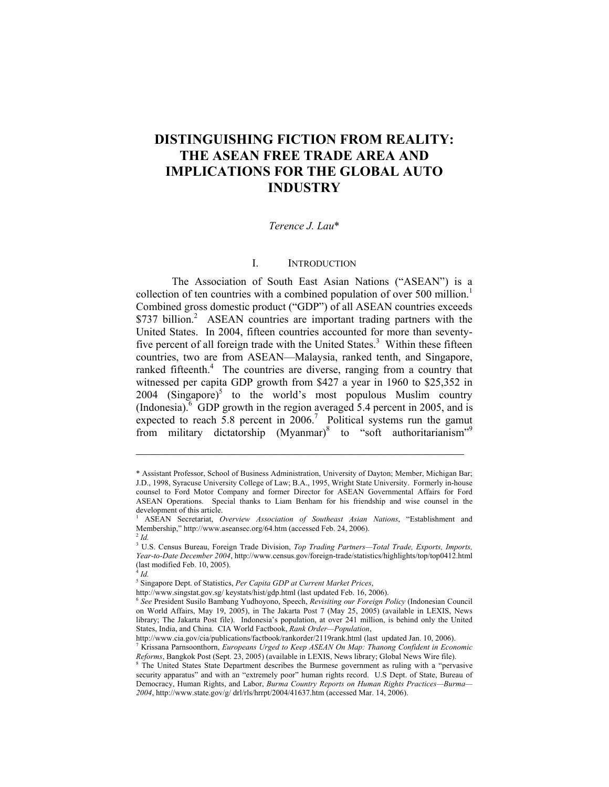# **DISTINGUISHING FICTION FROM REALITY: THE ASEAN FREE TRADE AREA AND IMPLICATIONS FOR THE GLOBAL AUTO INDUSTRY**

#### *Terence J. Lau*[\\*](#page-1-0)

## I. INTRODUCTION

The Association of South East Asian Nations ("ASEAN") is a collection of ten countries with a combined population of over 500 million.<sup>1</sup> Combined gross domestic product ("GDP") of all ASEAN countries exceeds \$737 billion.<sup>2</sup> ASEAN countries are important trading partners with the United States. In 2004, fifteen countries accounted for more than seventyfive percent of all foreign trade with the United States.<sup>3</sup> Within these fifteen countries, two are from ASEAN—Malaysia, ranked tenth, and Singapore, ranked fifteenth.<sup>4</sup> The countries are diverse, ranging from a country that witnessed per capita GDP growth from \$427 a year in 1960 to \$25,352 in  $2004$  (Singapore)<sup>[5](#page-1-5)</sup> to the world's most populous Muslim country (Indonesia). <sup>[6](#page-1-6)</sup> GDP growth in the region averaged 5.4 percent in 2005, and is expected to reach 5.8 percent in  $2006$ .<sup>7</sup> Political systems run the gamut frommilitary dictatorship (Myanmar)<sup>8</sup> to "soft authoritarianism"<sup>9</sup>

<span id="page-1-0"></span><sup>\*</sup> Assistant Professor, School of Business Administration, University of Dayton; Member, Michigan Bar; J.D., 1998, Syracuse University College of Law; B.A., 1995, Wright State University. Formerly in-house counsel to Ford Motor Company and former Director for ASEAN Governmental Affairs for Ford ASEAN Operations. Special thanks to Liam Benham for his friendship and wise counsel in the development of this article.

<span id="page-1-9"></span><span id="page-1-1"></span><sup>1</sup> ASEAN Secretariat, *Overview Association of Southeast Asian Nations*, "Establishment and Membership," http://www.aseansec.org/64.htm (accessed Feb. 24, 2006). 2 *Id.*

<span id="page-1-2"></span>

<span id="page-1-3"></span><sup>3</sup> U.S. Census Bureau, Foreign Trade Division, *Top Trading Partners—Total Trade, Exports, Imports, Year-to-Date December 2004*, http://www.census.gov/foreign-trade/statistics/highlights/top/top0412.html (last modified Feb. 10, 2005).

<span id="page-1-4"></span><sup>4</sup> *Id.*

<span id="page-1-5"></span><sup>5</sup> Singapore Dept. of Statistics, *Per Capita GDP at Current Market Prices*,

http://www.singstat.gov.sg/ keystats/hist/gdp.html (last updated Feb. 16, 2006).

<span id="page-1-6"></span><sup>6</sup> *See* President Susilo Bambang Yudhoyono, Speech, *Revisiting our Foreign Policy* (Indonesian Council on World Affairs, May 19, 2005), in The Jakarta Post 7 (May 25, 2005) (available in LEXIS, News library; The Jakarta Post file). Indonesia's population, at over 241 million, is behind only the United States, India, and China. CIA World Factbook, *Rank Order—Population*,

http://www.cia.gov/cia/publications/factbook/rankorder/2119rank.html (last updated Jan. 10, 2006). 7

<span id="page-1-7"></span>Krissana Parnsoonthorn, *Europeans Urged to Keep ASEAN On Map: Thanong Confident in Economic Reforms*, Bangkok Post (Sept. 23, 2005) (available in LEXIS, News library; Global News Wire file). 8

<span id="page-1-8"></span><sup>&</sup>lt;sup>8</sup> The United States State Department describes the Burmese government as ruling with a "pervasive security apparatus" and with an "extremely poor" human rights record. U.S Dept. of State, Bureau of Democracy, Human Rights, and Labor, *Burma Country Reports on Human Rights Practices—Burma— 2004*, http://www.state.gov/g/ drl/rls/hrrpt/2004/41637.htm (accessed Mar. 14, 2006).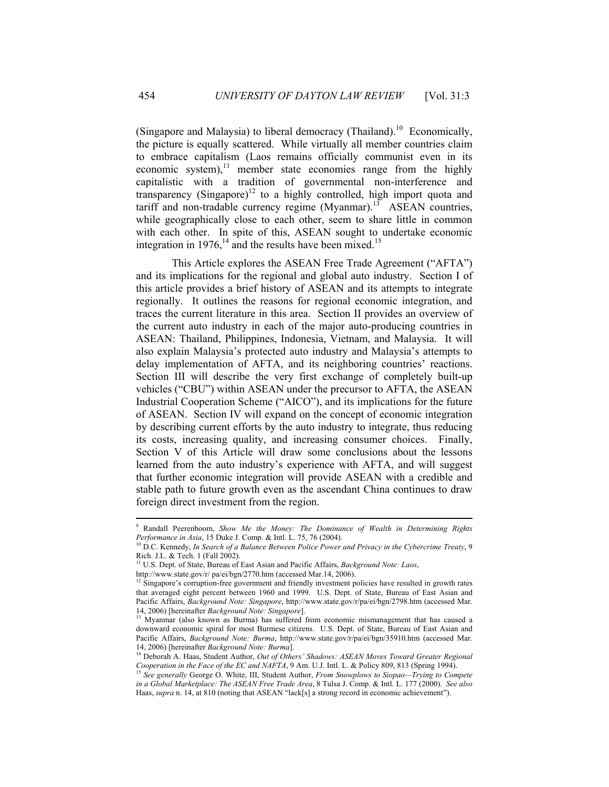(Singapore and Malaysia) to liberal democracy (Thailand).<sup>10</sup> Economically, the picture is equally scattered. While virtually all member countries claim to embrace capitalism (Laos remains officially communist even in its economic system), $\frac{11}{11}$  member state economies range from the highly capitalistic with a tradition of governmental non-interference and transparency (Singapore)<sup>12</sup> to a highly controlled, high import quota and tariff and non-tradable currency regime  $(Myanmar)$ .<sup>13</sup> ASEAN countries, while geographically close to each other, seem to share little in common with each other. In spite of this, ASEAN sought to undertake economic integration in 1976, $^{14}$  and the results have been mixed.<sup>[15](#page-2-5)</sup>

This Article explores the ASEAN Free Trade Agreement ("AFTA") and its implications for the regional and global auto industry. Section I of this article provides a brief history of ASEAN and its attempts to integrate regionally. It outlines the reasons for regional economic integration, and traces the current literature in this area. Section II provides an overview of the current auto industry in each of the major auto-producing countries in ASEAN: Thailand, Philippines, Indonesia, Vietnam, and Malaysia. It will also explain Malaysia's protected auto industry and Malaysia's attempts to delay implementation of AFTA, and its neighboring countries' reactions. Section III will describe the very first exchange of completely built-up vehicles ("CBU") within ASEAN under the precursor to AFTA, the ASEAN Industrial Cooperation Scheme ("AICO"), and its implications for the future of ASEAN. Section IV will expand on the concept of economic integration by describing current efforts by the auto industry to integrate, thus reducing its costs, increasing quality, and increasing consumer choices. Finally, Section V of this Article will draw some conclusions about the lessons learned from the auto industry's experience with AFTA, and will suggest that further economic integration will provide ASEAN with a credible and stable path to future growth even as the ascendant China continues to draw foreign direct investment from the region.

1

<sup>9</sup> Randall Peerenboom, *Show Me the Money: The Dominance of Wealth in Determining Rights Performance in Asia*, 15 Duke J. Comp. & Intl. L. 75, 76 (2004).<br><sup>10</sup> D.C. Kennedy, *In Search of a Balance Between Police Power and Privacy in the Cybercrime Treaty*, 9

<span id="page-2-0"></span>Rich. J.L. & Tech. 1 (Fall 2002).

<span id="page-2-1"></span><sup>&</sup>lt;sup>11</sup> U.S. Dept. of State, Bureau of East Asian and Pacific Affairs, *Background Note: Laos*,

<span id="page-2-2"></span>

http://www.state.gov/r/ pa/ei/bgn/2770.htm (accessed Mar.14, 2006).<br><sup>12</sup> Singapore's corruption-free government and friendly investment policies have resulted in growth rates that averaged eight percent between 1960 and 1999. U.S. Dept. of State, Bureau of East Asian and Pacific Affairs, *Background Note: Singapore*, http://www.state.gov/r/pa/ei/bgn/2798.htm (accessed Mar. 14, 2006) [hereinafter *Background Note: Singapore*].

<span id="page-2-3"></span><sup>&</sup>lt;sup>13</sup> Myanmar (also known as Burma) has suffered from economic mismanagement that has caused a downward economic spiral for most Burmese citizens. U.S. Dept. of State, Bureau of East Asian and Pacific Affairs, *Background Note: Burma*, http://www.state.gov/r/pa/ei/bgn/35910.htm (accessed Mar. 14, 2006) [hereinafter *Background Note: Burma*]. 14 Deborah A. Haas, Student Author, *Out of Others' Shadows: ASEAN Moves Toward Greater Regional* 

<span id="page-2-4"></span>*Cooperation in the Face of the EC and NAFTA*, 9 Am. U.J. Intl. L. & Policy 809, 813 (Spring 1994). 15 *See generally* George O. White, III, Student Author, *From Snowplows to Siopao—Trying to Compete* 

<span id="page-2-5"></span>*in a Global Marketplace: The ASEAN Free Trade Area*, 8 Tulsa J. Comp. & Intl. L. 177 (2000). *See also* Haas, *supra* n. 14, at 810 (noting that ASEAN "lack[s] a strong record in economic achievement").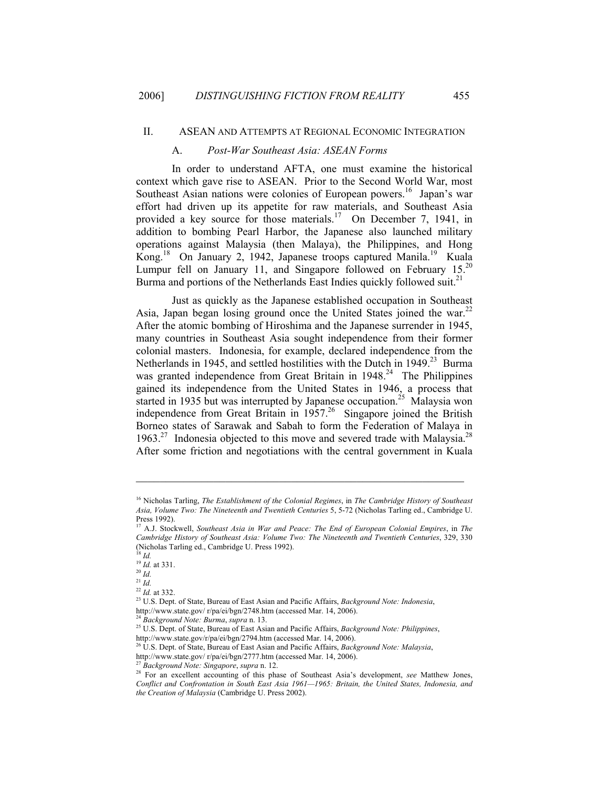#### II. ASEAN AND ATTEMPTS AT REGIONAL ECONOMIC INTEGRATION

#### A. *Post-War Southeast Asia: ASEAN Forms*

In order to understand AFTA, one must examine the historical context which gave rise to ASEAN. Prior to the Second World War, most Southeast Asian nations were colonies of European powers.<sup>16</sup> Japan's war effort had driven up its appetite for raw materials, and Southeast Asia provided a key source for those materials.<sup>17</sup> On December 7, 1941, in addition to bombing Pearl Harbor, the Japanese also launched military operations against Malaysia (then Malaya), the Philippines, and Hong Kong.<sup>18</sup> On January 2, 1942, Japanese troops captured Manila.<sup>19</sup> Kuala Lumpur fell on January 11, and Singapore followed on February 15.<sup>20</sup> Burma and portions of the Netherlands East Indies quickly followed suit.<sup>21</sup>

Just as quickly as the Japanese established occupation in Southeast Asia, Japan began losing ground once the United States joined the war.<sup>22</sup> After the atomic bombing of Hiroshima and the Japanese surrender in 1945, many countries in Southeast Asia sought independence from their former colonial masters. Indonesia, for example, declared independence from the Netherlands in 1945, and settled hostilities with the Dutch in 1949.<sup>23</sup> Burma was granted independence from Great Britain in 1948.<sup>24</sup> The Philippines gained its independence from the United States in 1946, a process that started in 1935 but was interrupted by Japanese occupation.<sup>25</sup> Malaysia won independence from Great Britain in  $1957<sup>26</sup>$  Singapore joined the British Borneo states of Sarawak and Sabah to form the Federation of Malaya in  $1963.<sup>27</sup>$  Indonesia objected to this move and severed trade with Malaysia.<sup>28</sup> After some friction and negotiations with the central government in Kuala

<span id="page-3-0"></span><sup>16</sup> Nicholas Tarling, *The Establishment of the Colonial Regimes*, in *The Cambridge History of Southeast Asia, Volume Two: The Nineteenth and Twentieth Centuries* 5, 5-72 (Nicholas Tarling ed., Cambridge U. Press 1992).

<span id="page-3-1"></span><sup>17</sup> A.J. Stockwell, *Southeast Asia in War and Peace: The End of European Colonial Empires*, in *The Cambridge History of Southeast Asia: Volume Two: The Nineteenth and Twentieth Centuries*, 329, 330 (Nicholas Tarling ed., Cambridge U. Press 1992).<br><sup>18</sup> Id.

<span id="page-3-3"></span><span id="page-3-2"></span>

<sup>18</sup> *Id.*<sup>19</sup> *Id.* at 331. 20 *Id.* 

<span id="page-3-4"></span>

<span id="page-3-5"></span> $\frac{21}{22}$  *Id.* at 332.

<span id="page-3-7"></span><span id="page-3-6"></span>

<sup>22</sup> *Id.* at 332. 23 U.S. Dept. of State, Bureau of East Asian and Pacific Affairs, *Background Note: Indonesia*,

<span id="page-3-9"></span><span id="page-3-8"></span>

http://www.state.gov/ r/pa/ei/bgn/2748.htm (accessed Mar. 14, 2006).<br><sup>24</sup> Background Note: Burma, supra n. 13.<br><sup>25</sup> U.S. Dept. of State, Bureau of East Asian and Pacific Affairs, Background Note: Philippines,<br>http://www.st

<span id="page-3-10"></span>http://www.state.gov/r/pa/ei/bgn/2794.htm (accessed Mar. 14, 2006). 26 U.S. Dept. of State, Bureau of East Asian and Pacific Affairs, *Background Note: Malaysia*,

<span id="page-3-12"></span><span id="page-3-11"></span>

<sup>&</sup>lt;sup>27</sup> Background Note: Singapore, supra n. 12.<br><sup>28</sup> For an excellent accounting of this phase of Southeast Asia's development, *see* Matthew Jones, *Conflict and Confrontation in South East Asia 1961—1965: Britain, the United States, Indonesia, and the Creation of Malaysia* (Cambridge U. Press 2002).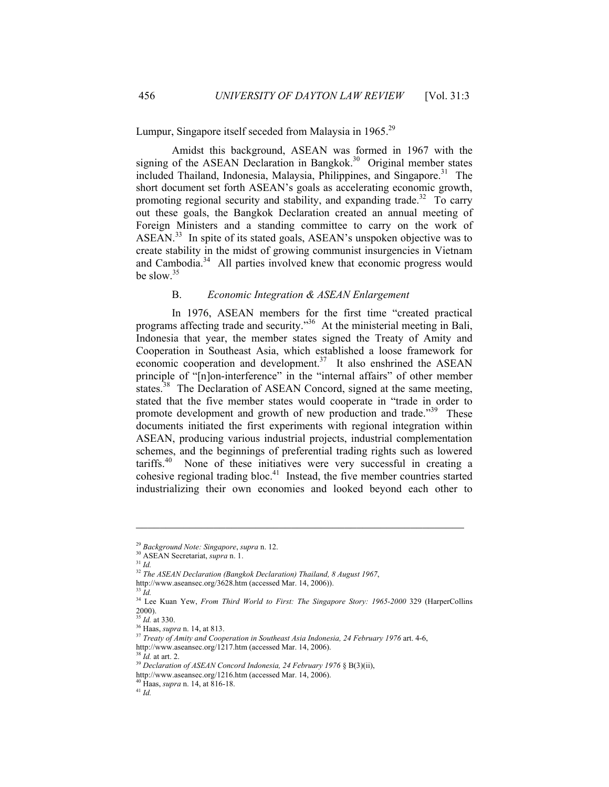# Lumpur, Singapore itself seceded from Malaysia in 1965.<sup>[29](#page-4-0)</sup>

Amidst this background, ASEAN was formed in 1967 with the signing of the ASEAN Declaration in Bangkok. $30$  Original member states included Thailand, Indonesia, Malaysia, Philippines, and Singapore.<sup>31</sup> The short document set forth ASEAN's goals as accelerating economic growth, promoting regional security and stability, and expanding trade.<sup>32</sup> To carry out these goals, the Bangkok Declaration created an annual meeting of Foreign Ministers and a standing committee to carry on the work of ASEAN.<sup>33</sup> In spite of its stated goals, ASEAN's unspoken objective was to create stability in the midst of growing communist insurgencies in Vietnam and Cambodia.<sup>34</sup> All parties involved knew that economic progress would be slow.<sup>[35](#page-4-6)</sup>

# B. *Economic Integration & ASEAN Enlargement*

In 1976, ASEAN members for the first time "created practical programs affecting trade and security.["36](#page-4-7) At the ministerial meeting in Bali, Indonesia that year, the member states signed the Treaty of Amity and Cooperation in Southeast Asia, which established a loose framework for economic cooperation and development. $37$  It also enshrined the ASEAN principle of "[n]on-interference" in the "internal affairs" of other member states.<sup>38</sup> The Declaration of ASEAN Concord, signed at the same meeting, stated that the five member states would cooperate in "trade in order to promote development and growth of new production and trade."<sup>39</sup> These documents initiated the first experiments with regional integration within ASEAN, producing various industrial projects, industrial complementation schemes, and the beginnings of preferential trading rights such as lowered  $\arif f \sinh 40$  None of these initiatives were very successful in creating a cohesive regional trading bloc.<sup>41</sup> Instead, the five member countries started industrializing their own economies and looked beyond each other to

<span id="page-4-0"></span><sup>29</sup> *Background Note: Singapore*, *supra* n. 12. 30 ASEAN Secretariat, *supra* n. 1. 31 *Id.*

<span id="page-4-1"></span>

<span id="page-4-3"></span><span id="page-4-2"></span>

<sup>32</sup> *The ASEAN Declaration (Bangkok Declaration) Thailand, 8 August 1967*,

http://www.aseansec.org/3628.htm (accessed Mar. 14, 2006)). 33 *Id.*

<span id="page-4-4"></span>

<span id="page-4-5"></span><sup>&</sup>lt;sup>34</sup> Lee Kuan Yew, *From Third World to First: The Singapore Story: 1965-2000* 329 (HarperCollins  $2000$ ).<br><sup>35</sup> *Id.* at 330.

<span id="page-4-6"></span>

<span id="page-4-8"></span><span id="page-4-7"></span>

<sup>&</sup>lt;sup>36</sup> Haas, *supra* n. 14, at 813.<br><sup>37</sup> *Treaty of Amity and Cooperation in Southeast Asia Indonesia, 24 February 1976* art. 4-6,

<span id="page-4-10"></span><span id="page-4-9"></span>

http://www.aseansec.org/1217.htm (accessed Mar. 14, 2006).<br><sup>38</sup> *Id.* at art. 2. *39 Declaration of ASEAN Concord Indonesia, 24 February 1976* § B(3)(ii),

http://www.aseansec.org/1216.htm (accessed Mar. 14, 2006). 40 Haas, *supra* n. 14, at 816-18. 41 *Id.*

<span id="page-4-12"></span><span id="page-4-11"></span>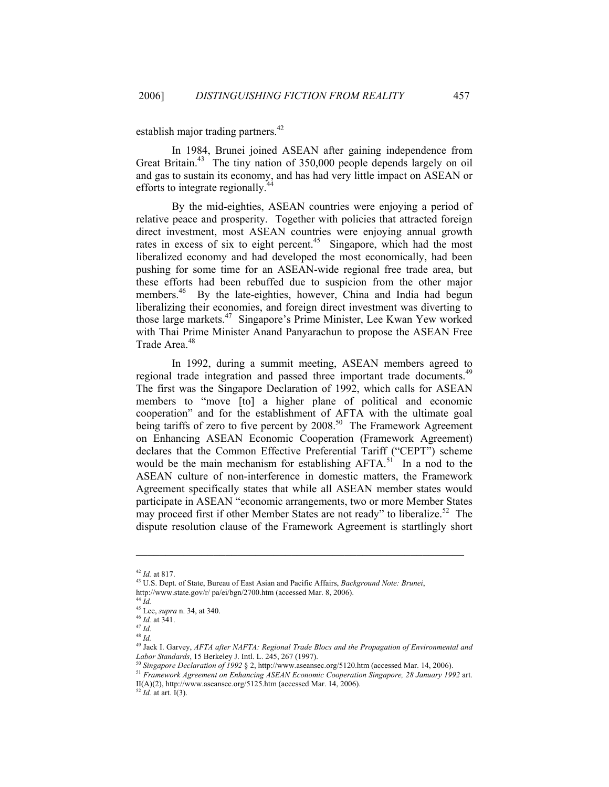establish major trading partners.<sup>42</sup>

In 1984, Brunei joined ASEAN after gaining independence from Great Britain.<sup>43</sup> The tiny nation of 350,000 people depends largely on oil and gas to sustain its economy, and has had very little impact on ASEAN or efforts to integrate regionally. $\frac{4}{5}$ 

By the mid-eighties, ASEAN countries were enjoying a period of relative peace and prosperity. Together with policies that attracted foreign direct investment, most ASEAN countries were enjoying annual growth rates in excess of six to eight percent.<sup>45</sup> Singapore, which had the most liberalized economy and had developed the most economically, had been pushing for some time for an ASEAN-wide regional free trade area, but these efforts had been rebuffed due to suspicion from the other major members.<sup>46</sup> By the late-eighties, however, China and India had begun liberalizing their economies, and foreign direct investment was diverting to those large markets.[47](#page-5-5) Singapore's Prime Minister, Lee Kwan Yew worked with Thai Prime Minister Anand Panyarachun to propose the ASEAN Free Trade Area.<sup>[48](#page-5-6)</sup>

In 1992, during a summit meeting, ASEAN members agreed to regional trade integration and passed three important trade documents.<sup>49</sup> The first was the Singapore Declaration of 1992, which calls for ASEAN members to "move [to] a higher plane of political and economic cooperation" and for the establishment of AFTA with the ultimate goal being tariffs of zero to five percent by  $2008$ .<sup>50</sup> The Framework Agreement on Enhancing ASEAN Economic Cooperation (Framework Agreement) declares that the Common Effective Preferential Tariff ("CEPT") scheme would be the main mechanism for establishing  $AFTA$ <sup>51</sup>. In a nod to the ASEAN culture of non-interference in domestic matters, the Framework Agreement specifically states that while all ASEAN member states would participate in ASEAN "economic arrangements, two or more Member States may proceed first if other Member States are not ready" to liberalize.<sup>52</sup> The dispute resolution clause of the Framework Agreement is startlingly short

<span id="page-5-10"></span>

<span id="page-5-1"></span><span id="page-5-0"></span>

<sup>42</sup> *Id.* at 817. 43 U.S. Dept. of State, Bureau of East Asian and Pacific Affairs, *Background Note: Brunei*,

http://www.state.gov/r/ pa/ei/bgn/2700.htm (accessed Mar. 8, 2006).

<span id="page-5-2"></span> $44 \tilde{I}$ d.

<span id="page-5-3"></span><sup>45</sup> Lee, *supra* n. 34, at 340. 46 *Id.* at 341. 47 *Id.* 

<span id="page-5-4"></span>

<span id="page-5-5"></span> $^{48}$   $^{10}$ .

<span id="page-5-7"></span><span id="page-5-6"></span>

<sup>&</sup>lt;sup>49</sup> Jack I. Garvey, *AFTA after NAFTA: Regional Trade Blocs and the Propagation of Environmental and Labor Standards, 15 Berkeley J. Intl. L. 245, 267 (1997).* 

<span id="page-5-9"></span><span id="page-5-8"></span>

<sup>&</sup>lt;sup>50</sup> Singapore Declaration of 1992 § 2, http://www.aseansec.org/5120.htm (accessed Mar. 14, 2006).<br><sup>51</sup> Framework Agreement on Enhancing ASEAN Economic Cooperation Singapore, 28 January 1992 art. II(A)(2), http://www.aseansec.org/5125.htm (accessed Mar. 14, 2006). <sup>52</sup> *Id.* at art. I(3).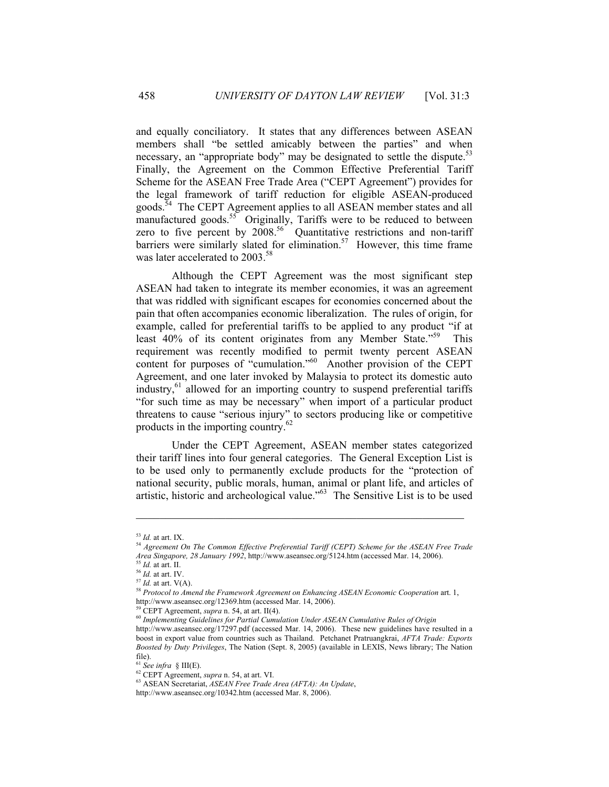and equally conciliatory. It states that any differences between ASEAN members shall "be settled amicably between the parties" and when necessary, an "appropriate body" may be designated to settle the dispute[.](#page-6-0)<sup>53</sup> Finally, the Agreement on the Common Effective Preferential Tariff Scheme for the ASEAN Free Trade Area ("CEPT Agreement") provides for the legal framework of tariff reduction for eligible ASEAN-produced goods.<sup>54</sup> The CEPT Agreement applies to all ASEAN member states and all manufactured goods.<sup>55</sup> Originally, Tariffs were to be reduced to between zero to five percent by  $2008$ <sup>56</sup> Quantitative restrictions and non-tariff barriers were similarly slated for elimination.<sup>57</sup> However, this time frame was later accelerated to 2003.<sup>58</sup>

Although the CEPT Agreement was the most significant step ASEAN had taken to integrate its member economies, it was an agreement that was riddled with significant escapes for economies concerned about the pain that often accompanies economic liberalization. The rules of origin, for example, called for preferential tariffs to be applied to any product "if at least 40% of its content originates from any Member State."<sup>59</sup> This requirement was recently modified to permit twenty percent ASEAN content for purposes of "cumulation."<sup>60</sup> Another provision of the CEPT Agreement, and one later invoked by Malaysia to protect its domestic auto industry, $61$  allowed for an importing country to suspend preferential tariffs "for such time as may be necessary" when import of a particular product threatens to cause "serious injury" to sectors producing like or competitive products in the importing country.<sup>62</sup>

Under the CEPT Agreement, ASEAN member states categorized their tariff lines into four general categories. The General Exception List is to be used only to permanently exclude products for the "protection of national security, public morals, human, animal or plant life, and articles of artistic, historic and archeological value."[63](#page-6-10) The Sensitive List is to be used

<span id="page-6-1"></span><span id="page-6-0"></span>

<sup>&</sup>lt;sup>53</sup> *Id.* at art. IX.<br><sup>54</sup> Agreement On The Common Effective Preferential Tariff (CEPT) Scheme for the ASEAN Free Trade<br>Area Singapore, 28 January 1992, http://www.aseansec.org/5124.htm (accessed Mar. 14, 2006).

<span id="page-6-3"></span>

<span id="page-6-5"></span><span id="page-6-4"></span>

<span id="page-6-2"></span><sup>&</sup>lt;sup>55</sup> *Id.* at art. II.<br><sup>56</sup> *Id.* at art. IV.<br><sup>57</sup> *Id.* at art. V(A).<br><sup>57</sup> *Id.* at art. V(A).<br><sup>58</sup> *Protocol to Amend the Framework Agreement on Enhancing ASEAN Economic Cooperation* art. 1,<br>http://www.aseansec.org/1236

<span id="page-6-7"></span><span id="page-6-6"></span>

<sup>&</sup>lt;sup>59</sup> CEPT Agreement, *supra* n. 54, at art. II(4).<br><sup>60</sup> Implementing Guidelines for Partial Cumulation Under ASEAN Cumulative Rules of Origin

http://www.aseansec.org/17297.pdf (accessed Mar. 14, 2006). These new guidelines have resulted in a boost in export value from countries such as Thailand. Petchanet Pratruangkrai, *AFTA Trade: Exports Boosted by Duty Privileges*, The Nation (Sept. 8, 2005) (available in LEXIS, News library; The Nation file).<br><sup>61</sup> See infra  $\S$  III(E).

<span id="page-6-8"></span>

<span id="page-6-10"></span><span id="page-6-9"></span>

<sup>&</sup>lt;sup>62</sup> CEPT Agreement, *supra* n. 54, at art. VI.<br><sup>63</sup> ASEAN Secretariat, *ASEAN Free Trade Area (AFTA): An Update*,

http://www.aseansec.org/10342.htm (accessed Mar. 8, 2006).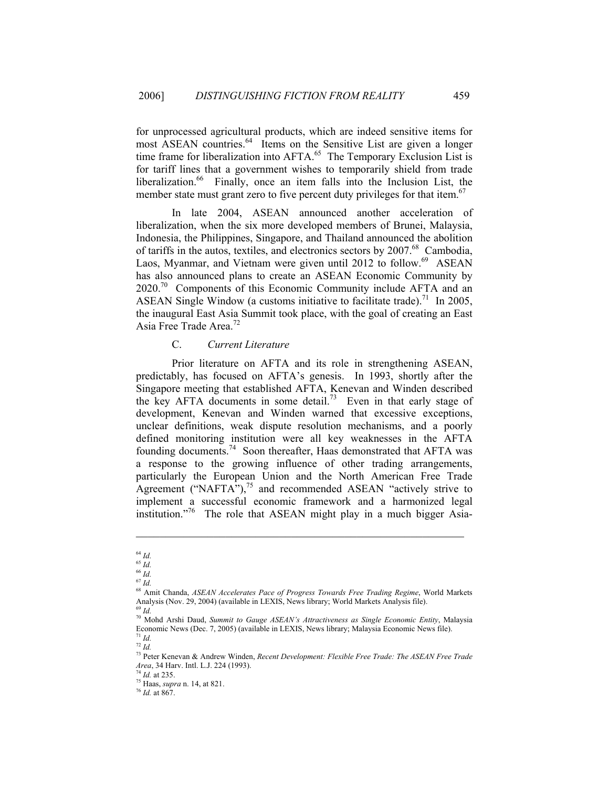for unprocessed agricultural products, which are indeed sensitive items for most ASEAN countries.<sup>64</sup> Items on the Sensitive List are given a longer time frame for liberalization into AFTA[.](#page-7-1)<sup>65</sup>The Temporary Exclusion List is for tariff lines that a government wishes to temporarily shield from trade liberalization.<sup>66</sup> Finally, once an item falls into the Inclusion List, the member state must grant zero to five percent duty privileges for that item.<sup>67</sup>

In late 2004, ASEAN announced another acceleration of liberalization, when the six more developed members of Brunei, Malaysia, Indonesia, the Philippines, Singapore, and Thailand announced the abolition of tariffs in the autos, textiles, and electronics sectors by  $2007<sup>68</sup>$  Cambodia, Laos, Myanmar, and Vietnam were given until 2012 to follow.<sup>69</sup> ASEAN has also announced plans to create an ASEAN Economic Community by 2020[.70](#page-7-6) Components of this Economic Community include AFTA and an ASEAN Single Window (a customs initiative to facilitate trade).<sup>71</sup> In 2005, the inaugural East Asia Summit took place, with the goal of creating an East Asia Free Trade Area.[72](#page-7-8)

# C. *Current Literature*

Prior literature on AFTA and its role in strengthening ASEAN, predictably, has focused on AFTA's genesis. In 1993, shortly after the Singapore meeting that established AFTA, Kenevan and Winden described the key AFTA documents in some detail.<sup>73</sup> Even in that early stage of development, Kenevan and Winden warned that excessive exceptions, unclear definitions, weak dispute resolution mechanisms, and a poorly defined monitoring institution were all key weaknesses in the AFTA founding documents.[74](#page-7-10) Soon thereafter, Haas demonstrated that AFTA was a response to the growing influence of other trading arrangements, particularly the European Union and the North American Free Trade Agreement ("NAFTA"),<sup>75</sup> and recommended ASEAN "actively strive to implement a successful economic framework and a harmonized legal institution."<sup>76</sup> The role that ASEAN might play in a much bigger Asia-

<span id="page-7-0"></span><sup>64</sup> *Id.* 

<span id="page-7-1"></span><sup>65</sup> *Id.* <sup>66</sup> *Id.* 

<span id="page-7-3"></span><span id="page-7-2"></span><sup>67</sup> *Id.* 

<span id="page-7-4"></span><sup>68</sup> Amit Chanda, *ASEAN Accelerates Pace of Progress Towards Free Trading Regime*, World Markets Analysis (Nov. 29, 2004) (available in LEXIS, News library; World Markets Analysis file).

<span id="page-7-5"></span><sup>69</sup> *Id.* 

<span id="page-7-6"></span><sup>70</sup> Mohd Arshi Daud, *Summit to Gauge ASEAN's Attractiveness as Single Economic Entity*, Malaysia Economic News (Dec. 7, 2005) (available in LEXIS, News library; Malaysia Economic News file). 71 *Id.* 

<span id="page-7-8"></span><span id="page-7-7"></span><sup>72</sup> *Id.*

<span id="page-7-9"></span><sup>73</sup> Peter Kenevan & Andrew Winden, *Recent Development: Flexible Free Trade: The ASEAN Free Trade Area*, 34 Harv. Intl. L.J. 224 (1993). 74 *Id.* at 235. 75 Haas, *supra* n. 14, at 821. 76 *Id.* at 867.

<span id="page-7-10"></span>

<span id="page-7-12"></span><span id="page-7-11"></span>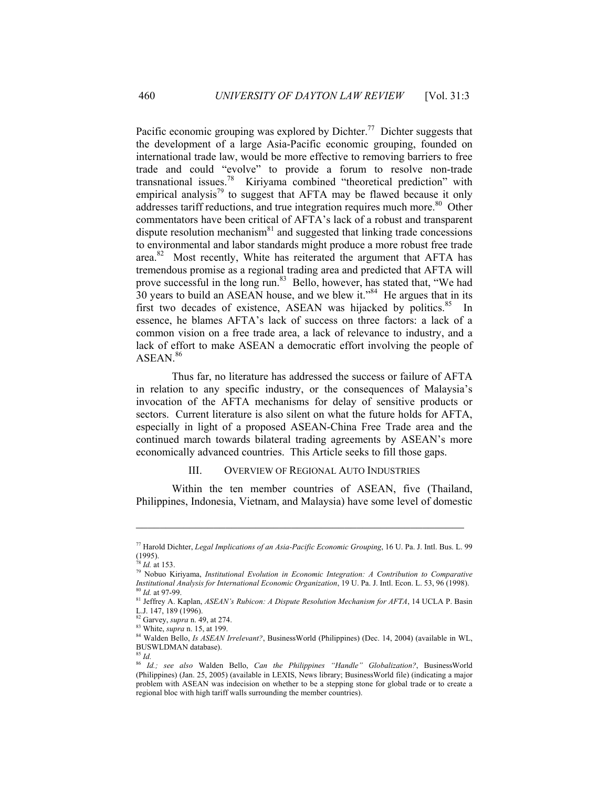Pacific economic grouping was explored by Dichter.<sup>77</sup> Dichter suggests that the development of a large Asia-Pacific economic grouping, founded on international trade law, would be more effective to removing barriers to free trade and could "evolve" to provide a forum to resolve non-trade transnational issues.<sup>78</sup> Kiriyama combined "theoretical prediction" with empirical analysis<sup>79</sup> to suggest that AFTA may be flawed because it only addresses tariff reductions, and true integration requires much more.<sup>80</sup> Other commentators have been critical of AFTA's lack of a robust and transparent dispute resolution mechanism $81$  and suggested that linking trade concessions to environmental and labor standards might produce a more robust free trade area.<sup>82</sup> Most recently, White has reiterated the argument that AFTA has tremendous promise as a regional trading area and predicted that AFTA will prove successful in the long run.<sup>83</sup> Bello, however, has stated that, "We had  $30$  years to build an ASEAN house, and we blew it.<sup>384</sup> He argues that in its first two decades of existence, ASEAN was hijacked by politics. $85$  In essence, he blames AFTA's lack of success on three factors: a lack of a common vision on a free trade area, a lack of relevance to industry, and a lack of effort to make ASEAN a democratic effort involving the people of  $ASEAN.<sup>86</sup>$  $ASEAN.<sup>86</sup>$  $ASEAN.<sup>86</sup>$ 

Thus far, no literature has addressed the success or failure of AFTA in relation to any specific industry, or the consequences of Malaysia's invocation of the AFTA mechanisms for delay of sensitive products or sectors. Current literature is also silent on what the future holds for AFTA, especially in light of a proposed ASEAN-China Free Trade area and the continued march towards bilateral trading agreements by ASEAN's more economically advanced countries. This Article seeks to fill those gaps.

## III. OVERVIEW OF REGIONAL AUTO INDUSTRIES

Within the ten member countries of ASEAN, five (Thailand, Philippines, Indonesia, Vietnam, and Malaysia) have some level of domestic

<span id="page-8-0"></span><sup>77</sup> Harold Dichter, *Legal Implications of an Asia-Pacific Economic Grouping*, 16 U. Pa. J. Intl. Bus. L. 99  $(1995)$ .<br><sup>78</sup> *Id.* at 153.

<span id="page-8-1"></span>

<span id="page-8-2"></span><sup>&</sup>lt;sup>79</sup> Nobuo Kiriyama, *Institutional Evolution in Economic Integration: A Contribution to Comparative Institutional Analysis for International Economic Organization, 19 U. Pa. J. Intl. Econ. L. 53, 96 (1998).* 

<span id="page-8-4"></span><span id="page-8-3"></span> $^{80}$  *Id.* at 97-99.<br><sup>81</sup> Jeffrey A. Kaplan, *ASEAN's Rubicon: A Dispute Resolution Mechanism for AFTA*, 14 UCLA P. Basin L.J. 147, 189 (1996).<br><sup>82</sup> Garvey, *supra* n. 49, at 274.

<span id="page-8-5"></span>

<span id="page-8-7"></span><span id="page-8-6"></span>

<sup>&</sup>lt;sup>83</sup> White, *supra* n. 15, at 199.<br><sup>84</sup> Walden Bello, *Is ASEAN Irrelevant?*, BusinessWorld (Philippines) (Dec. 14, 2004) (available in WL, BUSWLDMAN database).

<span id="page-8-8"></span><sup>85</sup> *Id.* 

<span id="page-8-9"></span><sup>86</sup> *Id.; see also* Walden Bello, *Can the Philippines "Handle" Globalization?*, BusinessWorld (Philippines) (Jan. 25, 2005) (available in LEXIS, News library; BusinessWorld file) (indicating a major problem with ASEAN was indecision on whether to be a stepping stone for global trade or to create a regional bloc with high tariff walls surrounding the member countries).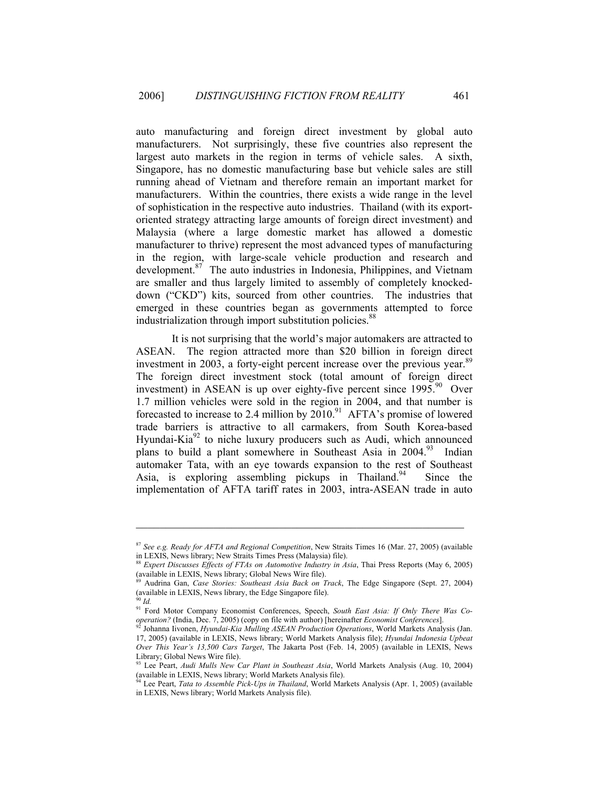auto manufacturing and foreign direct investment by global auto manufacturers. Not surprisingly, these five countries also represent the largest auto markets in the region in terms of vehicle sales. A sixth, Singapore, has no domestic manufacturing base but vehicle sales are still running ahead of Vietnam and therefore remain an important market for manufacturers. Within the countries, there exists a wide range in the level of sophistication in the respective auto industries. Thailand (with its exportoriented strategy attracting large amounts of foreign direct investment) and Malaysia (where a large domestic market has allowed a domestic manufacturer to thrive) represent the most advanced types of manufacturing in the region, with large-scale vehicle production and research and development.87The auto industries in Indonesia, Philippines, and Vietnam are smaller and thus largely limited to assembly of completely knockeddown ("CKD") kits, sourced from other countries. The industries that emerged in these countries began as governments attempted to force industrialization through import substitution policies.<sup>[88](#page-9-1)</sup>

It is not surprising that the world's major automakers are attracted to ASEAN. The region attracted more than \$20 billion in foreign direct investment in 2003, a forty-eight percent increase over the previous year.<sup>89</sup> The foreign direct investment stock (total amount of foreign direct investment) in ASEAN is up over eighty-five percent since  $1995.^{90}$  Over 1.7 million vehicles were sold in the region in 2004, and that number is forecasted to increase to 2.4 million by  $2010$ .<sup>91</sup> AFTA's promise of lowered trade barriers is attractive to all carmakers, from South Korea-based Hyundai-Kia $^{92}$  to niche luxury producers such as Audi, which announced plans to build a plant somewhere in Southeast Asia in  $2004<sup>93</sup>$  Indian automaker Tata, with an eye towards expansion to the rest of Southeast Asia, is exploring assembling pickups in Thailand.<sup>94</sup> Since the implementation of AFTA tariff rates in 2003, intra-ASEAN trade in auto

<span id="page-9-0"></span><sup>&</sup>lt;sup>87</sup> *See e.g. Ready for AFTA and Regional Competition*, New Straits Times 16 (Mar. 27, 2005) (available in LEXIS, News library; New Straits Times Press (Malaysia) file).

<span id="page-9-1"></span><sup>&</sup>lt;sup>88</sup> *Expert Discusses Effects of FTAs on Automotive Industry in Asia*, Thai Press Reports (May 6, 2005) (available in LEXIS, News library; Global News Wire file).

<span id="page-9-2"></span><sup>89</sup> Audrina Gan, *Case Stories: Southeast Asia Back on Track*, The Edge Singapore (Sept. 27, 2004) (available in LEXIS, News library, the Edge Singapore file).

<span id="page-9-3"></span><sup>90</sup> *Id.*

<span id="page-9-4"></span><sup>&</sup>lt;sup>91</sup> Ford Motor Company Economist Conferences, Speech, *South East Asia: If Only There Was Cooperation?* (India, Dec. 7, 2005) (copy on file with author) [hereinafter *Economist Conferences*]. 92 Johanna Iivonen, *Hyundai-Kia Mulling ASEAN Production Operations*, World Markets Analysis (Jan.

<span id="page-9-5"></span><sup>17, 2005) (</sup>available in LEXIS, News library; World Markets Analysis file); *Hyundai Indonesia Upbeat Over This Year's 13,500 Cars Target*, The Jakarta Post (Feb. 14, 2005) (available in LEXIS, News Library; Global News Wire file).

<span id="page-9-6"></span><sup>&</sup>lt;sup>93</sup> Lee Peart, *Audi Mulls New Car Plant in Southeast Asia*, World Markets Analysis (Aug. 10, 2004) (available in LEXIS, News library; World Markets Analysis file).

<span id="page-9-7"></span><sup>&</sup>lt;sup>1</sup> Lee Peart, *Tata to Assemble Pick-Ups in Thailand*, World Markets Analysis (Apr. 1, 2005) (available in LEXIS, News library; World Markets Analysis file).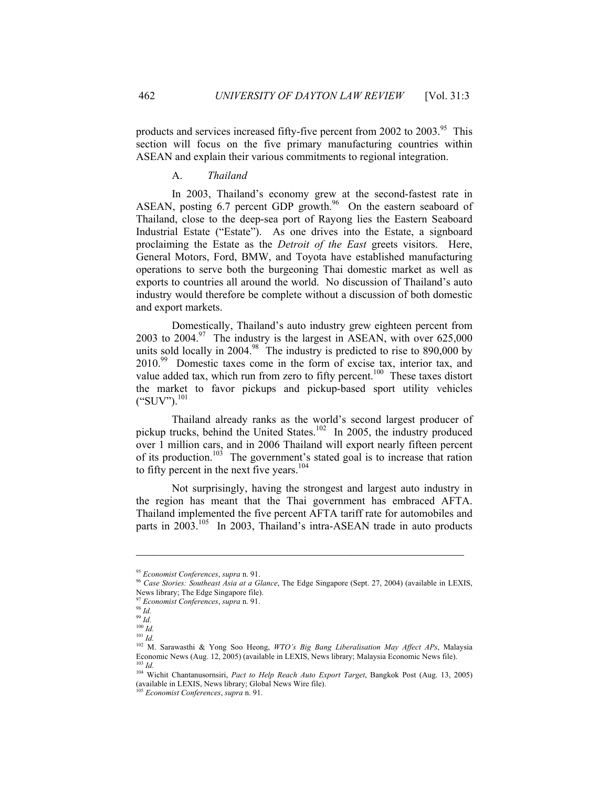products and services increased fifty-five percent from 2002 to 2003.<sup>95</sup> This section will focus on the five primary manufacturing countries within ASEAN and explain their various commitments to regional integration.

#### A. *Thailand*

In 2003, Thailand's economy grew at the second-fastest rate in ASEAN, posting  $6.7$  percent GDP growth.<sup>96</sup> On the eastern seaboard of Thailand, close to the deep-sea port of Rayong lies the Eastern Seaboard Industrial Estate ("Estate"). As one drives into the Estate, a signboard proclaiming the Estate as the *Detroit of the East* greets visitors. Here, General Motors, Ford, BMW, and Toyota have established manufacturing operations to serve both the burgeoning Thai domestic market as well as exports to countries all around the world. No discussion of Thailand's auto industry would therefore be complete without a discussion of both domestic and export markets.

Domestically, Thailand's auto industry grew eighteen percent from 2003 to 2004.<sup>97</sup> The industry is the largest in ASEAN, with over  $625,000$ units sold locally in 2004.<sup>98</sup> The industry is predicted to rise to 890,000 by 2010.<sup>99</sup> Domestic taxes come in the form of excise tax, interior tax, and value added tax, which run from zero to fifty percent.<sup>100</sup> These taxes distort the market to favor pickups and pickup-based sport utility vehicles  $("SUV")$ .<sup>[101](#page-10-6)</sup>

Thailand already ranks as the world's second largest producer of pickup trucks, behind the United States.<sup>102</sup> In 2005, the industry produced over 1 million cars, and in 2006 Thailand will export nearly fifteen percent of its production.<sup>103</sup> The government's stated goal is to increase that ration to fifty percent in the next five years. $104$ 

Not surprisingly, having the strongest and largest auto industry in the region has meant that the Thai government has embraced AFTA. Thailand implemented the five percent AFTA tariff rate for automobiles and parts in 2003.<sup>105</sup> In 2003, Thailand's intra-ASEAN trade in auto products

<span id="page-10-1"></span><span id="page-10-0"></span>

<sup>&</sup>lt;sup>95</sup> *Economist Conferences, supra* n. 91.<br><sup>96</sup> *Case Stories: Southeast Asia at a Glance*, The Edge Singapore (Sept. 27, 2004) (available in LEXIS, News library; The Edge Singapore file).

<span id="page-10-2"></span>

<sup>97</sup> *Economist Conferences*, *supra* n. 91. 98 *Id.* 

<span id="page-10-4"></span><span id="page-10-3"></span><sup>99</sup> *Id.* 

<span id="page-10-5"></span> $\overline{100}$  *Id.* 

<span id="page-10-6"></span> $\overline{101}$  *Id.* 

<span id="page-10-7"></span><sup>102</sup> M. Sarawasthi & Yong Soo Heong, *WTO's Big Bang Liberalisation May Affect APs*, Malaysia Economic News (Aug. 12, 2005) (available in LEXIS, News library; Malaysia Economic News file). 103 *Id.* 

<span id="page-10-9"></span><span id="page-10-8"></span><sup>104</sup> Wichit Chantanusornsiri, *Pact to Help Reach Auto Export Target*, Bangkok Post (Aug. 13, 2005) (available in LEXIS, News library; Global News Wire file).

<span id="page-10-10"></span><sup>105</sup> *Economist Conferences*, *supra* n. 91.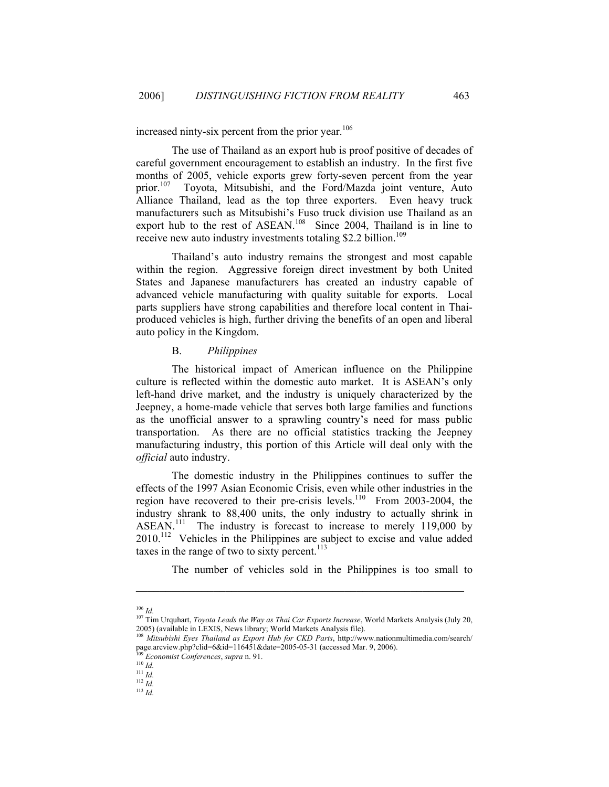increased ninty-six percent from the prior year.<sup>106</sup>

The use of Thailand as an export hub is proof positive of decades of careful government encouragement to establish an industry. In the first five months of 2005, vehicle exports grew forty-seven percent from the year prior.<sup>107</sup> Toyota, Mitsubishi, and the Ford/Mazda joint venture, Auto Alliance Thailand, lead as the top three exporters. Even heavy truck manufacturers such as Mitsubishi's Fuso truck division use Thailand as an export hub to the rest of ASEAN.<sup>108</sup> Since 2004, Thailand is in line to receive new auto industry investments totaling \$2.2 billion.<sup>109</sup>

Thailand's auto industry remains the strongest and most capable within the region. Aggressive foreign direct investment by both United States and Japanese manufacturers has created an industry capable of advanced vehicle manufacturing with quality suitable for exports. Local parts suppliers have strong capabilities and therefore local content in Thaiproduced vehicles is high, further driving the benefits of an open and liberal auto policy in the Kingdom.

## B. *Philippines*

The historical impact of American influence on the Philippine culture is reflected within the domestic auto market. It is ASEAN's only left-hand drive market, and the industry is uniquely characterized by the Jeepney, a home-made vehicle that serves both large families and functions as the unofficial answer to a sprawling country's need for mass public transportation. As there are no official statistics tracking the Jeepney manufacturing industry, this portion of this Article will deal only with the *official* auto industry.

The domestic industry in the Philippines continues to suffer the effects of the 1997 Asian Economic Crisis, even while other industries in the region have recovered to their pre-crisis levels.<sup>110</sup> From 2003-2004, the industry shrank to 88,400 units, the only industry to actually shrink in ASEAN.<sup>111</sup> The industry is forecast to increase to merely 119,000 by 2010.<sup>112</sup> Vehicles in the Philippines are subject to excise and value added taxes in the range of two to sixty percent.<sup>113</sup>

The number of vehicles sold in the Philippines is too small to

<span id="page-11-0"></span> $106$  *Id.* 

<span id="page-11-1"></span><sup>&</sup>lt;sup>107</sup> Tim Urquhart, *Toyota Leads the Way as Thai Car Exports Increase*, World Markets Analysis (July 20, 2005) (available in LEXIS, News library; World Markets Analysis file).

<span id="page-11-2"></span><sup>108</sup> *Mitsubishi Eyes Thailand as Export Hub for CKD Parts*, http://www.nationmultimedia.com/search/ page.arcview.php?clid=6&id=116451&date=2005-05-31 (accessed Mar. 9, 2006).<br><sup>109</sup> *Economist Conferences*, *supra* n. 91.<br><sup>110</sup> *Id.* 

<span id="page-11-3"></span>

<span id="page-11-5"></span><span id="page-11-4"></span>

 $111$  *Id.* 

<span id="page-11-7"></span><span id="page-11-6"></span><sup>112</sup> *Id.* <sup>113</sup> *Id.*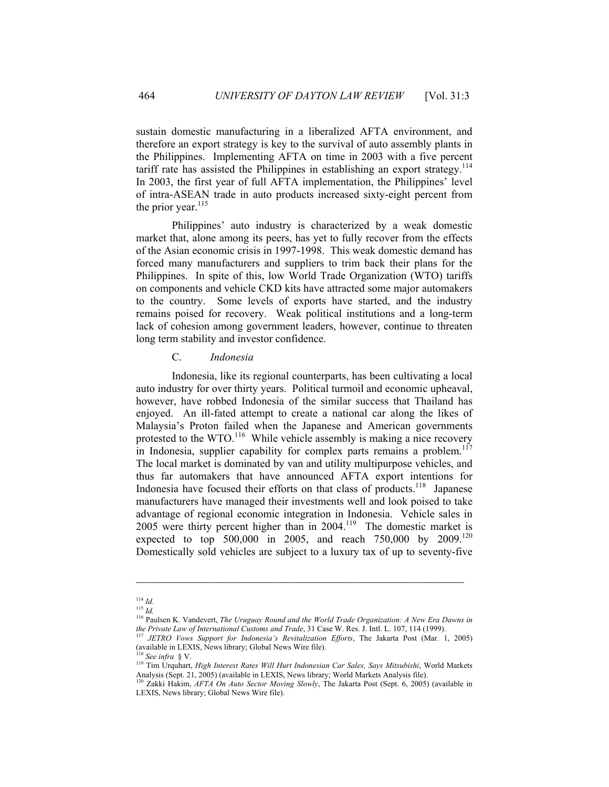sustain domestic manufacturing in a liberalized AFTA environment, and therefore an export strategy is key to the survival of auto assembly plants in the Philippines. Implementing AFTA on time in 2003 with a five percent tariff rate has assisted the Philippines in establishing an export strategy.<sup>114</sup> In 2003, the first year of full AFTA implementation, the Philippines' level of intra-ASEAN trade in auto products increased sixty-eight percent from the prior year. $115$ 

Philippines' auto industry is characterized by a weak domestic market that, alone among its peers, has yet to fully recover from the effects of the Asian economic crisis in 1997-1998. This weak domestic demand has forced many manufacturers and suppliers to trim back their plans for the Philippines. In spite of this, low World Trade Organization (WTO) tariffs on components and vehicle CKD kits have attracted some major automakers to the country. Some levels of exports have started, and the industry remains poised for recovery. Weak political institutions and a long-term lack of cohesion among government leaders, however, continue to threaten long term stability and investor confidence.

# C. *Indonesia*

Indonesia, like its regional counterparts, has been cultivating a local auto industry for over thirty years. Political turmoil and economic upheaval, however, have robbed Indonesia of the similar success that Thailand has enjoyed. An ill-fated attempt to create a national car along the likes of Malaysia's Proton failed when the Japanese and American governments protested to the WTO.<sup>116</sup> While vehicle assembly is making a nice recovery in Indonesia, supplier capability for complex parts remains a problem.<sup>117</sup> The local market is dominated by van and utility multipurpose vehicles, and thus far automakers that have announced AFTA export intentions for Indonesia have focused their efforts on that class of products.<sup>118</sup> Japanese manufacturers have managed their investments well and look poised to take advantage of regional economic integration in Indonesia. Vehicle sales in 2005 were thirty percent higher than in  $2004$ .<sup>119</sup> The domestic market is expected to top 500,000 in 2005, and reach 750,000 by  $2009$ .<sup>120</sup> Domestically sold vehicles are subject to a luxury tax of up to seventy-five

<span id="page-12-0"></span><sup>114</sup> *Id.*

<span id="page-12-1"></span><sup>115</sup> *Id.*

<span id="page-12-2"></span><sup>116</sup> Paulsen K. Vandevert, *The Uruguay Round and the World Trade Organization: A New Era Dawns in the Private Law of International Customs and Trade*, 31 Case W. Res. J. Intl. L. 107, 114 (1999). 117 *JETRO Vows Support for Indonesia's Revitalization Efforts*, The Jakarta Post (Mar. 1, 2005)

<span id="page-12-3"></span><sup>(</sup>available in LEXIS, News library; Global News Wire file).

<span id="page-12-4"></span><sup>118</sup> *See infra* § V.

<span id="page-12-5"></span><sup>119</sup> Tim Urquhart, *High Interest Rates Will Hurt Indonesian Car Sales, Says Mitsubishi*, World Markets Analysis (Sept. 21, 2005) (available in LEXIS, News library; World Markets Analysis file).

<span id="page-12-6"></span><sup>120</sup> Zakki Hakim, *AFTA On Auto Sector Moving Slowly*, The Jakarta Post (Sept. 6, 2005) (available in LEXIS, News library; Global News Wire file).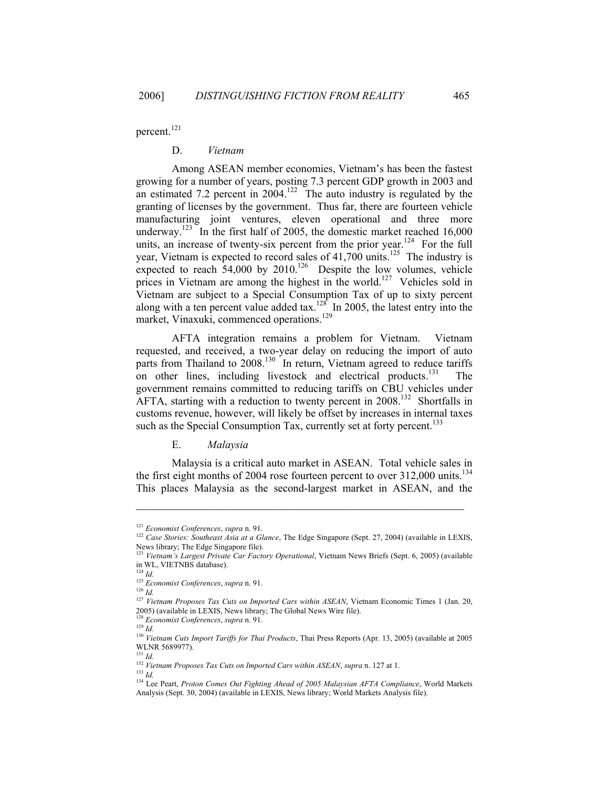percent.<sup>[121](#page-13-0)</sup>

#### D. *Vietnam*

Among ASEAN member economies, Vietnam's has been the fastest growing for a number of years, posting 7.3 percent GDP growth in 2003 and an estimated 7.2 percent in  $2004$ <sup>122</sup>. The auto industry is regulated by the granting of licenses by the government. Thus far, there are fourteen vehicle manufacturing joint ventures, eleven operational and three more underway.<sup>123</sup> In the first half of 2005, the domestic market reached  $16,000$ units, an increase of twenty-six percent from the prior year.<sup>124</sup> For the full year, Vietnam is expected to record sales of  $41,700$  units.<sup>125</sup> The industry is expected to reach  $54,000$  by  $2010$ .<sup>126</sup> Despite the low volumes, vehicle prices in Vietnam are among the highest in the world.<sup>127</sup> Vehicles sold in Vietnam are subject to a Special Consumption Tax of up to sixty percent along with a ten percent value added tax.<sup>128</sup> In 2005, the latest entry into the market, Vinaxuki, commenced operations.<sup>129</sup>

AFTA integration remains a problem for Vietnam. Vietnam requested, and received, a two-year delay on reducing the import of auto parts from Thailand to 2008.<sup>130</sup> In return, Vietnam agreed to reduce tariffs on other lines, including livestock and electrical products.<sup>131</sup> government remains committed to reducing tariffs on CBU vehicles under AFTA, starting with a reduction to twenty percent in  $2008$ <sup>132</sup> Shortfalls in customs revenue, however, will likely be offset by increases in internal taxes such as the Special Consumption Tax, currently set at forty percent.<sup>[133](#page-13-12)</sup>

E. *Malaysia* 

Malaysia is a critical auto market in ASEAN. Total vehicle sales in the first eight months of 2004 rose fourteen percent to over 312,000 units.<sup>134</sup> This places Malaysia as the second-largest market in ASEAN, and the

 $\mathcal{L}_\text{max}$  , and the contract of the contract of the contract of the contract of the contract of the contract of the contract of the contract of the contract of the contract of the contract of the contract of the contr

<span id="page-13-10"></span> $131$  *Id.* 

<span id="page-13-1"></span><span id="page-13-0"></span>

<sup>&</sup>lt;sup>121</sup> *Economist Conferences, supra* n. 91.<br><sup>122</sup> *Case Stories: Southeast Asia at a Glance*, The Edge Singapore (Sept. 27, 2004) (available in LEXIS, News library; The Edge Singapore file).

<span id="page-13-2"></span><sup>123</sup> *Vietnam's Largest Private Car Factory Operational*, Vietnam News Briefs (Sept. 6, 2005) (available in WL, VIETNBS database).

<span id="page-13-3"></span> $124$  *Id.* 

<span id="page-13-4"></span><sup>125</sup> *Economist Conferences*, *supra* n. 91. 126 *Id.*

<span id="page-13-5"></span>

<span id="page-13-6"></span><sup>&</sup>lt;sup>127</sup> *Vietnam Proposes Tax Cuts on Imported Cars within ASEAN*, Vietnam Economic Times 1 (Jan. 20, 2005) (available in LEXIS, News library; The Global News Wire file).

<span id="page-13-7"></span><sup>128</sup> *Economist Conferences*, *supra* n. 91. 129 *Id.* 

<span id="page-13-8"></span>

<span id="page-13-9"></span><sup>130</sup> *Vietnam Cuts Import Tariffs for Thai Products*, Thai Press Reports (Apr. 13, 2005) (available at 2005 WLNR 5689977).

<span id="page-13-11"></span><sup>132</sup> *Vietnam Proposes Tax Cuts on Imported Cars within ASEAN*, *supra* n. 127 at 1. 133 *Id.* 

<span id="page-13-13"></span><span id="page-13-12"></span>

<sup>&</sup>lt;sup>134</sup> Lee Peart, *Proton Comes Out Fighting Ahead of 2005 Malaysian AFTA Compliance*, World Markets Analysis (Sept. 30, 2004) (available in LEXIS, News library; World Markets Analysis file).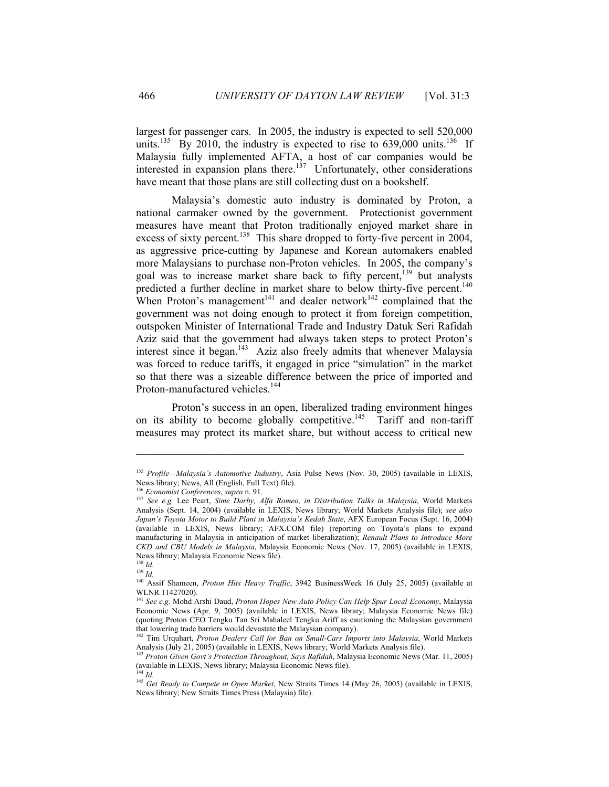largest for passenger cars. In 2005, the industry is expected to sell 520,000 units.<sup>135</sup> By 2010, the industry is expected to rise to 639,000 units.<sup>136</sup> If Malaysia fully implemented AFTA, a host of car companies would be interested in expansion plans there.<sup>137</sup> Unfortunately, other considerations have meant that those plans are still collecting dust on a bookshelf.

Malaysia's domestic auto industry is dominated by Proton, a national carmaker owned by the government. Protectionist government measures have meant that Proton traditionally enjoyed market share in excess of sixty percent.<sup>138</sup> This share dropped to forty-five percent in 2004, as aggressive price-cutting by Japanese and Korean automakers enabled more Malaysians to purchase non-Proton vehicles. In 2005, the company's goal was to increase market share back to fifty percent,<sup>139</sup> but analysts predicted a further decline in market share to below thirty-five percent.<sup>140</sup> When Proton's management<sup>141</sup> and dealer network<sup>142</sup> complained that the government was not doing enough to protect it from foreign competition, outspoken Minister of International Trade and Industry Datuk Seri Rafidah Aziz said that the government had always taken steps to protect Proton's interest since it began.<sup>143</sup> Aziz also freely admits that whenever Malaysia was forced to reduce tariffs, it engaged in price "simulation" in the market so that there was a sizeable difference between the price of imported and Proton-manufactured vehicles.<sup>[144](#page-14-9)</sup>

Proton's success in an open, liberalized trading environment hinges on its ability to become globally competitive.<sup>145</sup> Tariff and non-tariff measures may protect its market share, but without access to critical new

<span id="page-14-0"></span><sup>135</sup> *Profile—Malaysia's Automotive Industry*, Asia Pulse News (Nov. 30, 2005) (available in LEXIS, News library; News, All (English, Full Text) file).<br><sup>136</sup> Economist Conferences, supra n. 91.

<span id="page-14-1"></span>

<span id="page-14-2"></span><sup>&</sup>lt;sup>137</sup> See e.g. Lee Peart, Sime Darby, Alfa Romeo, in Distribution Talks in Malaysia, World Markets Analysis (Sept. 14, 2004) (available in LEXIS, News library; World Markets Analysis file); *see also Japan's Toyota Motor to Build Plant in Malaysia's Kedah State*, AFX European Focus (Sept. 16, 2004) (available in LEXIS, News library; AFX.COM file) (reporting on Toyota's plans to expand manufacturing in Malaysia in anticipation of market liberalization); *Renault Plans to Introduce More CKD and CBU Models in Malaysia*, Malaysia Economic News (Nov. 17, 2005) (available in LEXIS, News library; Malaysia Economic News file).

<span id="page-14-3"></span><sup>138</sup> *Id.* <sup>139</sup> *Id.* 

<span id="page-14-5"></span><span id="page-14-4"></span><sup>140</sup> Assif Shameen, *Proton Hits Heavy Traffic*, 3942 BusinessWeek 16 (July 25, 2005) (available at WLNR 11427020).

<span id="page-14-6"></span><sup>141</sup> *See e.g.* Mohd Arshi Daud, *Proton Hopes New Auto Policy Can Help Spur Local Economy*, Malaysia Economic News (Apr. 9, 2005) (available in LEXIS, News library; Malaysia Economic News file) (quoting Proton CEO Tengku Tan Sri Mahaleel Tengku Ariff as cautioning the Malaysian government that lowering trade barriers would devastate the Malaysian company). 142 Tim Urquhart, *Proton Dealers Call for Ban on Small-Cars Imports into Malaysia*, World Markets

<span id="page-14-7"></span>Analysis (July 21, 2005) (available in LEXIS, News library; World Markets Analysis file). 143 *Proton Given Govt's Protection Throughout, Says Rafidah*, Malaysia Economic News (Mar. 11, 2005)

<span id="page-14-8"></span><sup>(</sup>available in LEXIS, News library; Malaysia Economic News file).  $^{144}$  *Id.* 

<span id="page-14-10"></span><span id="page-14-9"></span><sup>&</sup>lt;sup>145</sup> *Get Ready to Compete in Open Market*, New Straits Times 14 (May 26, 2005) (available in LEXIS, News library; New Straits Times Press (Malaysia) file).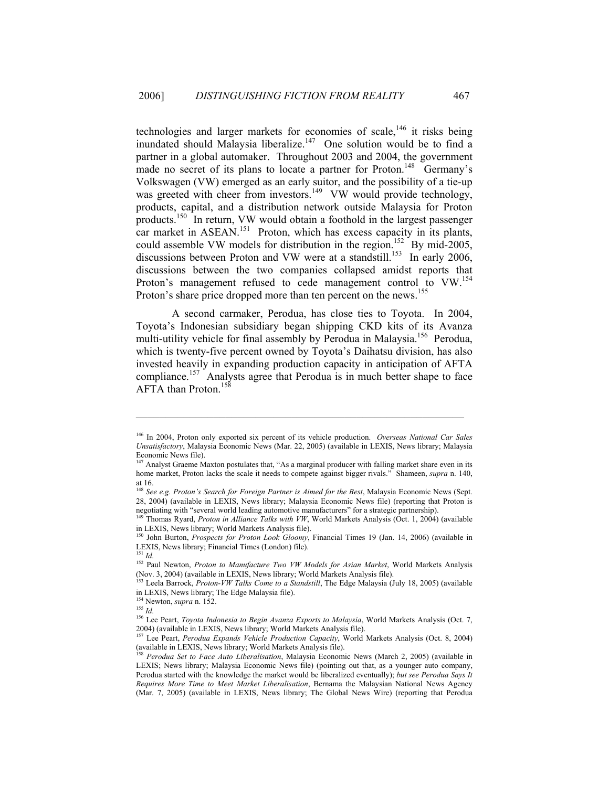technologies and larger markets for economies of scale,<sup>146</sup> it risks being inundated should Malaysia liberalize.<sup>147</sup> One solution would be to find a partner in a global automaker. Throughout 2003 and 2004, the government made no secret of its plans to locate a partner for Proton.<sup>148</sup> Germany's Volkswagen (VW) emerged as an early suitor, and the possibility of a tie-up was greeted with cheer from investors.<sup>149</sup> VW would provide technology, products, capital, and a distribution network outside Malaysia for Proton products.<sup>150</sup> In return, VW would obtain a foothold in the largest passenger car market in ASEAN.<sup>151</sup> Proton, which has excess capacity in its plants, could assemble VW models for distribution in the region.<sup>152</sup> By mid-2005, discussions between Proton and VW were at a standstill.<sup>153</sup> In early 2006, discussions between the two companies collapsed amidst reports that Proton's management refused to cede management control to VW.<sup>154</sup> Proton's share price dropped more than ten percent on the news.<sup>155</sup>

A second carmaker, Perodua, has close ties to Toyota. In 2004, Toyota's Indonesian subsidiary began shipping CKD kits of its Avanza multi-utility vehicle for final assembly by Perodua in Malaysia.<sup>156</sup> Perodua, which is twenty-five percent owned by Toyota's Daihatsu division, has also invested heavily in expanding production capacity in anticipation of AFTA compliance.<sup>157</sup> Analysts agree that Perodua is in much better shape to face AFTA than Proton.<sup>158</sup>

<span id="page-15-0"></span><sup>146</sup> In 2004, Proton only exported six percent of its vehicle production. *Overseas National Car Sales Unsatisfactory*, Malaysia Economic News (Mar. 22, 2005) (available in LEXIS, News library; Malaysia Economic News file).

<span id="page-15-1"></span><sup>&</sup>lt;sup>147</sup> Analyst Graeme Maxton postulates that, "As a marginal producer with falling market share even in its home market, Proton lacks the scale it needs to compete against bigger rivals." Shameen, *supra* n. 140, at 16.

<span id="page-15-2"></span><sup>&</sup>lt;sup>148</sup> See e.g. Proton's Search for Foreign Partner is Aimed for the Best, Malaysia Economic News (Sept. 28, 2004) (available in LEXIS, News library; Malaysia Economic News file) (reporting that Proton is negotiating with "several world leading automotive manufacturers" for a strategic partnership). 149 Thomas Ryard, *Proton in Alliance Talks with VW*, World Markets Analysis (Oct. 1, 2004) (available

<span id="page-15-3"></span>in LEXIS, News library; World Markets Analysis file). 150 John Burton, *Prospects for Proton Look Gloomy*, Financial Times 19 (Jan. 14, 2006) (available in

<span id="page-15-4"></span>LEXIS, News library; Financial Times (London) file). <sup>151</sup> *Id.* 

<span id="page-15-6"></span><span id="page-15-5"></span><sup>152</sup> Paul Newton, *Proton to Manufacture Two VW Models for Asian Market*, World Markets Analysis (Nov. 3, 2004) (available in LEXIS, News library; World Markets Analysis file).

<span id="page-15-7"></span><sup>153</sup> Leela Barrock, *Proton-VW Talks Come to a Standstill*, The Edge Malaysia (July 18, 2005) (available in LEXIS, News library; The Edge Malaysia file).

<span id="page-15-8"></span><sup>154</sup> Newton, *supra* n. 152. 155 *Id.* 

<span id="page-15-10"></span><span id="page-15-9"></span>

<sup>&</sup>lt;sup>156</sup> Lee Peart, *Toyota Indonesia to Begin Avanza Exports to Malaysia*, World Markets Analysis (Oct. 7, 2004) (available in LEXIS, News library; World Markets Analysis file).<br><sup>157</sup> Lee Beart, *Boughus Emparts, Voltigle Bushistics Canacity*, World

<span id="page-15-11"></span><sup>157</sup> Lee Peart, *Perodua Expands Vehicle Production Capacity*, World Markets Analysis (Oct. 8, 2004) (available in LEXIS, News library; World Markets Analysis file). 158 *Perodua Set to Face Auto Liberalisation*, Malaysia Economic News (March 2, 2005) (available in

<span id="page-15-12"></span>LEXIS; News library; Malaysia Economic News file) (pointing out that, as a younger auto company, Perodua started with the knowledge the market would be liberalized eventually); *but see Perodua Says It Requires More Time to Meet Market Liberalisation*, Bernama the Malaysian National News Agency (Mar. 7, 2005) (available in LEXIS, News library; The Global News Wire) (reporting that Perodua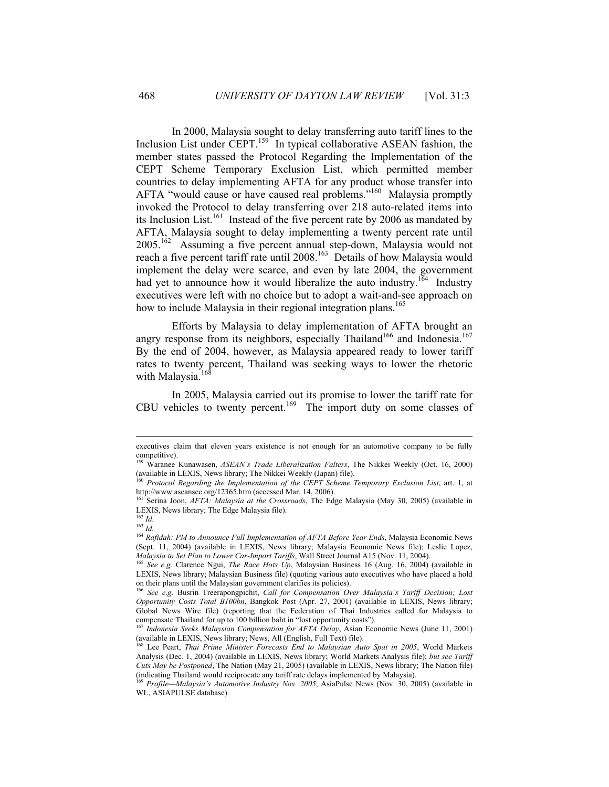In 2000, Malaysia sought to delay transferring auto tariff lines to the Inclusion List under CEPT.<sup>159</sup> In typical collaborative ASEAN fashion, the member states passed the Protocol Regarding the Implementation of the CEPT Scheme Temporary Exclusion List, which permitted member countries to delay implementing AFTA for any product whose transfer into AFTA "would cause or have caused real problems."<sup>160</sup> Malaysia promptly invoked the Protocol to delay transferring over 218 auto-related items into its Inclusion List.<sup>161</sup> Instead of the five percent rate by 2006 as mandated by AFTA, Malaysia sought to delay implementing a twenty percent rate until  $2005$ <sup>162</sup> Assuming a five percent annual step-down, Malaysia would not reach a five percent tariff rate until 2008.<sup>163</sup> Details of how Malaysia would implement the delay were scarce, and even by late 2004, the government had yet to announce how it would liberalize the auto industry.<sup>164</sup> Industry executives were left with no choice but to adopt a wait-and-see approach on how to include Malaysia in their regional integration plans.<sup>[165](#page-16-6)</sup>

Efforts by Malaysia to delay implementation of AFTA brought an angry response from its neighbors, especially Thailand<sup>166</sup> and Indonesia.<sup>167</sup> By the end of 2004, however, as Malaysia appeared ready to lower tariff rates to twenty percent, Thailand was seeking ways to lower the rhetoric with Malaysia.<sup>16</sup>

In 2005, Malaysia carried out its promise to lower the tariff rate for CBU vehicles to twenty percent.<sup>169</sup> The import duty on some classes of

<u>.</u>

executives claim that eleven years existence is not enough for an automotive company to be fully competitive).

<span id="page-16-0"></span><sup>159</sup> Waranee Kunawasen, *ASEAN's Trade Liberalization Falters*, The Nikkei Weekly (Oct. 16, 2000) (available in LEXIS, News library; The Nikkei Weekly (Japan) file). 160 *Protocol Regarding the Implementation of the CEPT Scheme Temporary Exclusion List*, art. 1, at

<span id="page-16-1"></span>http://www.aseansec.org/12365.htm (accessed Mar. 14, 2006).<br><sup>161</sup> Serina Joon, *AFTA: Malaysia at the Crossroads*, The Edge Malaysia (May 30, 2005) (available in

<span id="page-16-2"></span>LEXIS, News library; The Edge Malaysia file).

<span id="page-16-3"></span><sup>162</sup> *Id.* 

<span id="page-16-4"></span><sup>163</sup> *Id.* 

<span id="page-16-5"></span><sup>164</sup> *Rafidah: PM to Announce Full Implementation of AFTA Before Year Ends*, Malaysia Economic News (Sept. 11, 2004) (available in LEXIS, News library; Malaysia Economic News file); Leslie Lopez, *Malaysia to Set Plan to Lower Car-Import Tariffs*, Wall Street Journal A15 (Nov. 11, 2004).

<span id="page-16-6"></span><sup>&</sup>lt;sup>165</sup> See e.g. Clarence Ngui, *The Race Hots Up*, Malaysian Business 16 (Aug. 16, 2004) (available in LEXIS, News library; Malaysian Business file) (quoting various auto executives who have placed a hold on their plans until the Malaysian government clarifies its policies).

<span id="page-16-7"></span><sup>166</sup> *See e.g.* Busrin Treerapongpichit, *Call for Compensation Over Malaysia's Tariff Decision; Lost Opportunity Costs Total B100bn*, Bangkok Post (Apr. 27, 2001) (available in LEXIS, News library; Global News Wire file) (reporting that the Federation of Thai Industries called for Malaysia to compensate Thailand for up to 100 billion baht in "lost opportunity costs").

<span id="page-16-8"></span><sup>&</sup>lt;sup>167</sup> *Indonesia Seeks Malaysian Compensation for AFTA Delay*, Asian Economic News (June 11, 2001)<br>(available in LEXIS, News library; News, All (English, Full Text) file).

<span id="page-16-9"></span>Lee Peart, *Thai Prime Minister Forecasts End to Malaysian Auto Spat in 2005*, World Markets Analysis (Dec. 1, 2004) (available in LEXIS, News library; World Markets Analysis file); *but see Tariff Cuts May be Postponed*, The Nation (May 21, 2005) (available in LEXIS, News library; The Nation file) (indicating Thailand would reciprocate any tariff rate delays implemented by Malaysia). 169 *Profile—Malaysia's Automotive Industry Nov. 2005*, AsiaPulse News (Nov. 30, 2005) (available in

<span id="page-16-10"></span>WL, ASIAPULSE database).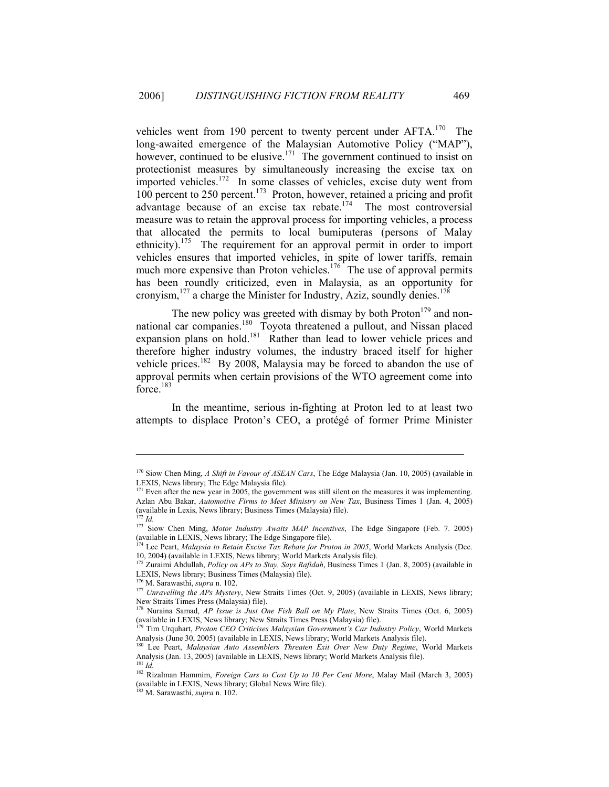vehicles went from 190 percent to twenty percent under AFTA.<sup>170</sup> The long-awaited emergence of the Malaysian Automotive Policy ("MAP"), however,continued to be elusive.<sup>171</sup> The government continued to insist on protectionist measures by simultaneously increasing the excise tax on imported vehicles.<sup>172</sup> In some classes of vehicles, excise duty went from 100 percent to 250 percent[.173](#page-17-3) Proton, however, retained a pricing and profit advantage because of an excise tax rebate.<sup>174</sup> The most controversial measure was to retain the approval process for importing vehicles, a process that allocated the permits to local bumiputeras (persons of Malay ethnicity).[175](#page-17-5) The requirement for an approval permit in order to import vehicles ensures that imported vehicles, in spite of lower tariffs, remain muchmore expensive than Proton vehicles.<sup>176</sup> The use of approval permits has been roundly criticized, even in Malaysia, as an opportunity for cronyism, $177$  a charge the Minister for Industry, Aziz, soundly denies.<sup>[178](#page-17-8)</sup>

The new policy was greeted with dismay by both  $Proton<sup>179</sup>$  and nonnational car companies.<sup>180</sup> Toyota threatened a pullout, and Nissan placed expansion plans on hold.<sup>181</sup> Rather than lead to lower vehicle prices and therefore higher industry volumes, the industry braced itself for higher vehicle prices.<sup>182</sup> By 2008, Malaysia may be forced to abandon the use of approval permits when certain provisions of the WTO agreement come into force.<sup>[183](#page-17-13)</sup>

In the meantime, serious in-fighting at Proton led to at least two attempts to displace Proton's CEO, a protégé of former Prime Minister

<span id="page-17-0"></span><sup>170</sup> Siow Chen Ming, *A Shift in Favour of ASEAN Cars*, The Edge Malaysia (Jan. 10, 2005) (available in LEXIS, News library; The Edge Malaysia file).

<span id="page-17-1"></span><sup>&</sup>lt;sup>171</sup> Even after the new year in 2005, the government was still silent on the measures it was implementing. Azlan Abu Bakar, *Automotive Firms to Meet Ministry on New Tax*, Business Times 1 (Jan. 4, 2005) (available in Lexis, News library; Business Times (Malaysia) file).  $^{172}$  *Id.* 

<span id="page-17-3"></span><span id="page-17-2"></span><sup>&</sup>lt;sup>173</sup> Siow Chen Ming, *Motor Industry Awaits MAP Incentives*, The Edge Singapore (Feb. 7. 2005) (available in LEXIS, News library; The Edge Singapore file).

<span id="page-17-4"></span><sup>&</sup>lt;sup>174</sup> Lee Peart, *Malaysia to Retain Excise Tax Rebate for Proton in 2005*, World Markets Analysis (Dec. 10, 2004) (available in LEXIS, News library; World Markets Analysis file).

<span id="page-17-5"></span><sup>&</sup>lt;sup>175</sup> Zuraimi Abdullah, *Policy on APs to Stay, Says Rafidah*, Business Times 1 (Jan. 8, 2005) (available in LEXIS, News library; Business Times (Malaysia) file).<br><sup>176</sup> M. Sarawasthi, *supra* n. 102.<br><sup>177</sup> *Unravelling the APs Mystery*, New Straits Times (Oct. 9, 2005) (available in LEXIS, News library;

<span id="page-17-7"></span><span id="page-17-6"></span>

New Straits Times Press (Malaysia) file).

<span id="page-17-8"></span><sup>178</sup> Nuraina Samad, *AP Issue is Just One Fish Ball on My Plate*, New Straits Times (Oct. 6, 2005) (available in LEXIS, News library; New Straits Times Press (Malaysia) file). 179 Tim Urquhart, *Proton CEO Criticises Malaysian Government's Car Industry Policy*, World Markets

<span id="page-17-9"></span>Analysis (June 30, 2005) (available in LEXIS, News library; World Markets Analysis file).

<span id="page-17-10"></span>Lee Peart, *Malaysian Auto Assemblers Threaten Exit Over New Duty Regime*, World Markets Analysis (Jan. 13, 2005) (available in LEXIS, News library; World Markets Analysis file). 181 *Id.* 

<span id="page-17-12"></span><span id="page-17-11"></span><sup>&</sup>lt;sup>182</sup> Rizalman Hammim, *Foreign Cars to Cost Up to 10 Per Cent More*, Malay Mail (March 3, 2005) (available in LEXIS, News library; Global News Wire file).

<span id="page-17-13"></span><sup>183</sup> M. Sarawasthi, *supra* n. 102.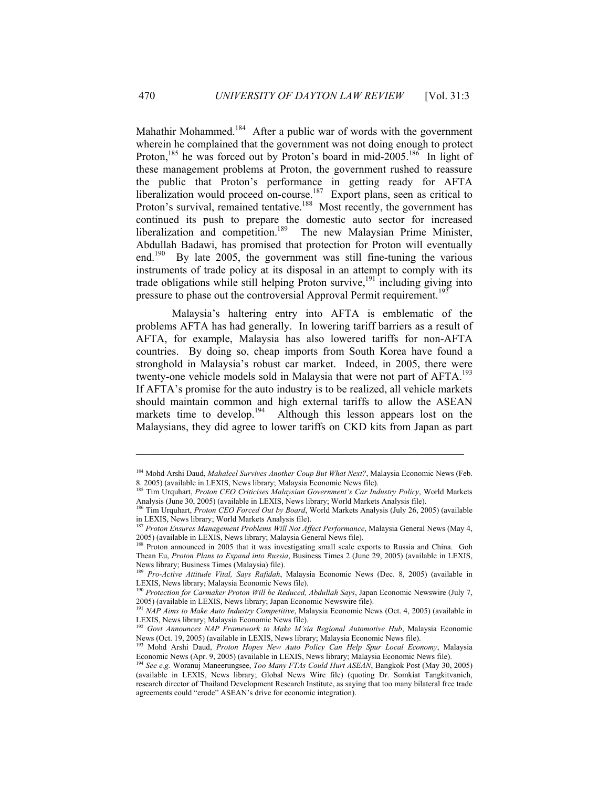Mahathir Mohammed.<sup>184</sup> After a public war of words with the government wherein he complained that the government was not doing enough to protect Proton,<sup>185</sup>he was forced out by Proton's board in mid-2005.<sup>186</sup> In light of these management problems at Proton, the government rushed to reassure the public that Proton's performance in getting ready for AFTA liberalization would proceed on-course.<sup>187</sup> Export plans, seen as critical to Proton's survival, remained tentative.<sup>188</sup> Most recently, the government has continued its push to prepare the domestic auto sector for increased liberalization and competition.<sup>189</sup> The new Malaysian Prime Minister, Abdullah Badawi, has promised that protection for Proton will eventually end.<sup>190</sup> By late 2005, the government was still fine-tuning the various instruments of trade policy at its disposal in an attempt to comply with its trade obligations while still helping Proton survive, $191$  including giving into pressure to phase out the controversial Approval Permit requirement.<sup>192</sup>

Malaysia's haltering entry into AFTA is emblematic of the problems AFTA has had generally. In lowering tariff barriers as a result of AFTA, for example, Malaysia has also lowered tariffs for non-AFTA countries. By doing so, cheap imports from South Korea have found a stronghold in Malaysia's robust car market. Indeed, in 2005, there were twenty-one vehicle models sold in Malaysia that were not part of AFTA.<sup>193</sup> If AFTA's promise for the auto industry is to be realized, all vehicle markets should maintain common and high external tariffs to allow the ASEAN markets time to develop.<sup>194</sup> Although this lesson appears lost on the Malaysians, they did agree to lower tariffs on CKD kits from Japan as part

 $\mathcal{L}_\text{max}$  and the contract of the contract of the contract of the contract of the contract of the contract of the contract of the contract of the contract of the contract of the contract of the contract of the contrac

<span id="page-18-4"></span><sup>188</sup> Proton announced in 2005 that it was investigating small scale exports to Russia and China. Goh Thean Eu, *Proton Plans to Expand into Russia*, Business Times 2 (June 29, 2005) (available in LEXIS, News library; Business Times (Malaysia) file).

<span id="page-18-0"></span><sup>&</sup>lt;sup>184</sup> Mohd Arshi Daud, *Mahaleel Survives Another Coup But What Next?*, Malaysia Economic News (Feb. 8. 2005) (available in LEXIS, News library; Malaysia Economic News file).

<span id="page-18-1"></span><sup>&</sup>lt;sup>185</sup> Tim Urquhart, Proton CEO Criticises Malaysian Government's Car Industry Policy, World Markets Analysis (June 30, 2005) (available in LEXIS, News library; World Markets Analysis file).

<span id="page-18-2"></span><sup>186</sup> Tim Urquhart, *Proton CEO Forced Out by Board*, World Markets Analysis (July 26, 2005) (available in LEXIS, News library; World Markets Analysis file). 187 *Proton Ensures Management Problems Will Not Affect Performance*, Malaysia General News (May 4,

<span id="page-18-3"></span><sup>2005) (</sup>available in LEXIS, News library; Malaysia General News file).

<span id="page-18-5"></span><sup>189</sup> *Pro-Active Attitude Vital, Says Rafidah*, Malaysia Economic News (Dec. 8, 2005) (available in LEXIS, News library; Malaysia Economic News file).

<span id="page-18-6"></span><sup>&</sup>lt;sup>190</sup> Protection for Carmaker Proton Will be Reduced, Abdullah Says, Japan Economic Newswire (July 7, 2005) (available in LEXIS, News library; Japan Economic Newswire file).

<span id="page-18-7"></span><sup>&</sup>lt;sup>191</sup> *NAP Aims to Make Auto Industry Competitive*, Malaysia Economic News (Oct. 4, 2005) (available in LEXIS, News library; Malaysia Economic News file).

<span id="page-18-8"></span><sup>192</sup> *Govt Announces NAP Framework to Make M'sia Regional Automotive Hub*, Malaysia Economic

<span id="page-18-9"></span>News (Oct. 19, 2005) (available in LEXIS, News library; Malaysia Economic News file).<br><sup>193</sup> Mohd Arshi Daud, *Proton Hopes New Auto Policy Can Help Spur Local Economy*, Malaysia<br>Economic News (Apr. 9, 2005) (available in L

<span id="page-18-10"></span><sup>&</sup>lt;sup>194</sup> See e.g. Woranuj Maneerungsee, *Too Many FTAs Could Hurt ASEAN*, Bangkok Post (May 30, 2005) (available in LEXIS, News library; Global News Wire file) (quoting Dr. Somkiat Tangkitvanich, research director of Thailand Development Research Institute, as saying that too many bilateral free trade agreements could "erode" ASEAN's drive for economic integration).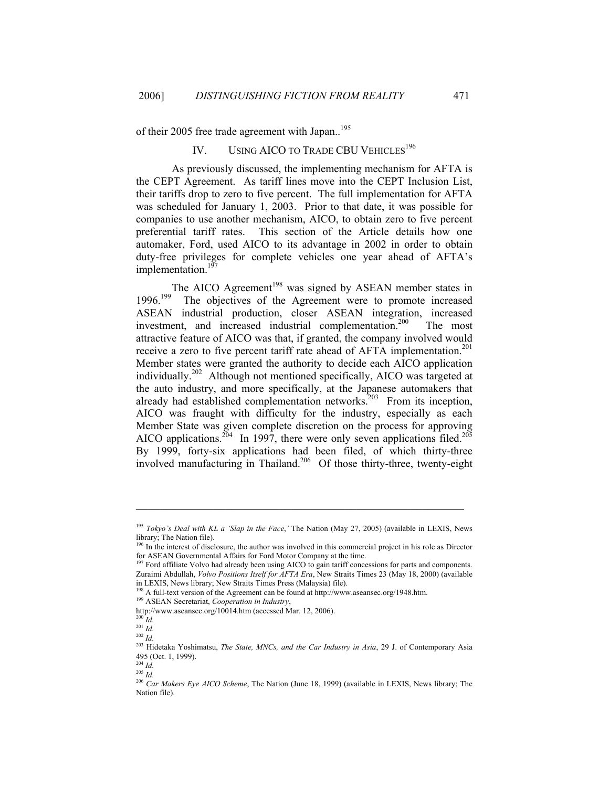of their 2005 free trade agreement with Japan..<sup>195</sup>

# IV. USING AICO TO TRADE CBU VEHICLES<sup>196</sup>

As previously discussed, the implementing mechanism for AFTA is the CEPT Agreement. As tariff lines move into the CEPT Inclusion List, their tariffs drop to zero to five percent. The full implementation for AFTA was scheduled for January 1, 2003. Prior to that date, it was possible for companies to use another mechanism, AICO, to obtain zero to five percent preferential tariff rates. This section of the Article details how one automaker, Ford, used AICO to its advantage in 2002 in order to obtain duty-free privileges for complete vehicles one year ahead of AFTA's implementation. $197$ 

TheAICO Agreement<sup>198</sup> was signed by ASEAN member states in 1996.<sup>199</sup> The objectives of the Agreement were to promote increased ASEAN industrial production, closer ASEAN integration, increased investment, and increased industrial complementation.<sup>200</sup> The most attractive feature of AICO was that, if granted, the company involved would receive a zero to five percent tariff rate ahead of AFTA implementation.<sup>201</sup> Member states were granted the authority to decide each AICO application individually.[202](#page-19-7) Although not mentioned specifically, AICO was targeted at the auto industry, and more specifically, at the Japanese automakers that already had established complementation networks.<sup>203</sup> From its inception, AICO was fraught with difficulty for the industry, especially as each Member State was given complete discretion on the process for approving AICO applications.<sup>204</sup> In 1997, there were only seven applications filed.<sup>205</sup> By 1999, forty-six applications had been filed, of which thirty-three involved manufacturing in Thailand.<sup>206</sup> Of those thirty-three, twenty-eight

<span id="page-19-0"></span><sup>195</sup> *Tokyo's Deal with KL a 'Slap in the Face*,*'* The Nation (May 27, 2005) (available in LEXIS, News library; The Nation file).

<span id="page-19-1"></span><sup>&</sup>lt;sup>196</sup> In the interest of disclosure, the author was involved in this commercial project in his role as Director for ASEAN Governmental Affairs for Ford Motor Company at the time.

<span id="page-19-2"></span><sup>&</sup>lt;sup>197</sup> Ford affiliate Volvo had already been using AICO to gain tariff concessions for parts and components. Zuraimi Abdullah, *Volvo Positions Itself for AFTA Era*, New Straits Times 23 (May 18, 2000) (available

<span id="page-19-3"></span><sup>&</sup>lt;sup>198</sup> A full-text version of the Agreement can be found at http://www.aseansec.org/1948.htm. <sup>199</sup> ASEAN Secretariat, *Cooperation in Industry*,

<span id="page-19-4"></span>

http://www.aseansec.org/10014.htm (accessed Mar. 12, 2006). 200 *Id.* 

<span id="page-19-5"></span> $^{201}$  *Id.* 

<span id="page-19-6"></span> $\int_{202}^{202}$  *Id.* 

<span id="page-19-7"></span>

<span id="page-19-8"></span><sup>203</sup> Hidetaka Yoshimatsu, *The State, MNCs, and the Car Industry in Asia*, 29 J. of Contemporary Asia 495 (Oct. 1, 1999).

<span id="page-19-9"></span> $^{204}\,$   $ld.$  $^{205}$   $^{101}$ 

<span id="page-19-10"></span>

<span id="page-19-11"></span><sup>206</sup> *Car Makers Eye AICO Scheme*, The Nation (June 18, 1999) (available in LEXIS, News library; The Nation file).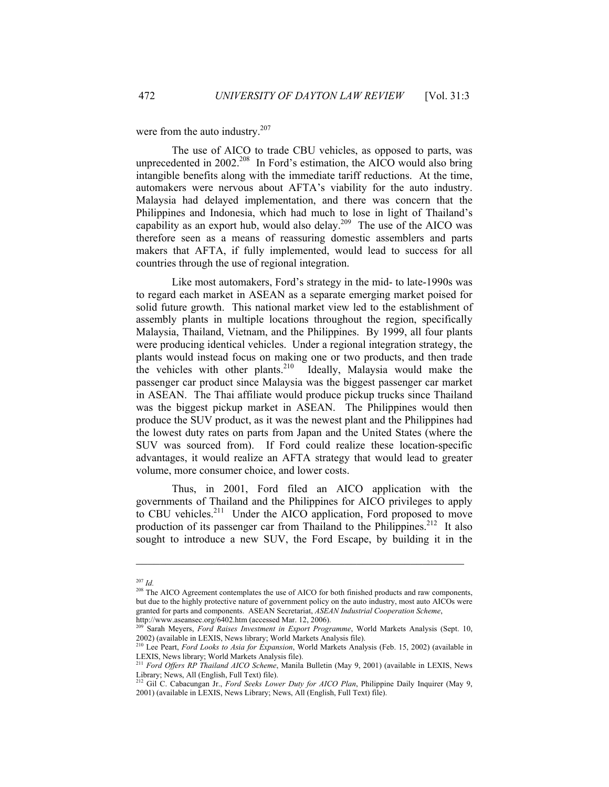were from the auto industry.<sup>[207](#page-20-0)</sup>

The use of AICO to trade CBU vehicles, as opposed to parts, was unprecedented in 2002.<sup>208</sup> In Ford's estimation, the AICO would also bring intangible benefits along with the immediate tariff reductions. At the time, automakers were nervous about AFTA's viability for the auto industry. Malaysia had delayed implementation, and there was concern that the Philippines and Indonesia, which had much to lose in light of Thailand's capability as an export hub, would also delay.<sup>209</sup> The use of the AICO was therefore seen as a means of reassuring domestic assemblers and parts makers that AFTA, if fully implemented, would lead to success for all countries through the use of regional integration.

Like most automakers, Ford's strategy in the mid- to late-1990s was to regard each market in ASEAN as a separate emerging market poised for solid future growth. This national market view led to the establishment of assembly plants in multiple locations throughout the region, specifically Malaysia, Thailand, Vietnam, and the Philippines. By 1999, all four plants were producing identical vehicles. Under a regional integration strategy, the plants would instead focus on making one or two products, and then trade the vehicles with other plants.<sup>210</sup> Ideally, Malaysia would make the passenger car product since Malaysia was the biggest passenger car market in ASEAN. The Thai affiliate would produce pickup trucks since Thailand was the biggest pickup market in ASEAN. The Philippines would then produce the SUV product, as it was the newest plant and the Philippines had the lowest duty rates on parts from Japan and the United States (where the SUV was sourced from). If Ford could realize these location-specific advantages, it would realize an AFTA strategy that would lead to greater volume, more consumer choice, and lower costs.

Thus, in 2001, Ford filed an AICO application with the governments of Thailand and the Philippines for AICO privileges to apply to CBU vehicles.<sup>211</sup> Under the AICO application, Ford proposed to move production of its passenger car from Thailand to the Philippines.<sup>212</sup> It also sought to introduce a new SUV, the Ford Escape, by building it in the

<span id="page-20-0"></span> $^{207}$  *Id.* 

<span id="page-20-1"></span><sup>&</sup>lt;sup>208</sup> The AICO Agreement contemplates the use of AICO for both finished products and raw components, but due to the highly protective nature of government policy on the auto industry, most auto AICOs were granted for parts and components. ASEAN Secretariat, *ASEAN Industrial Cooperation Scheme*, http://www.aseansec.org/6402.htm (accessed Mar. 12, 2006).

<span id="page-20-2"></span>http://www.aseansec.org/62.htm (accessed Mar. 12, 2006). 2007.<br>2009 Sarah Meyers, *Ford Raises Investment in Export Programme*, World Markets Analysis (Sept. 10, 2002) (available in LEXIS, News library; World Markets Analysis file).

<span id="page-20-3"></span><sup>210</sup> Lee Peart, *Ford Looks to Asia for Expansion*, World Markets Analysis (Feb. 15, 2002) (available in LEXIS, News library; World Markets Analysis file).

<span id="page-20-4"></span><sup>211</sup> *Ford Offers RP Thailand AICO Scheme*, Manila Bulletin (May 9, 2001) (available in LEXIS, News Library; News, All (English, Full Text) file). 212 Gil C. Cabacungan Jr., *Ford Seeks Lower Duty for AICO Plan*, Philippine Daily Inquirer (May 9,

<span id="page-20-5"></span><sup>2001) (</sup>available in LEXIS, News Library; News, All (English, Full Text) file).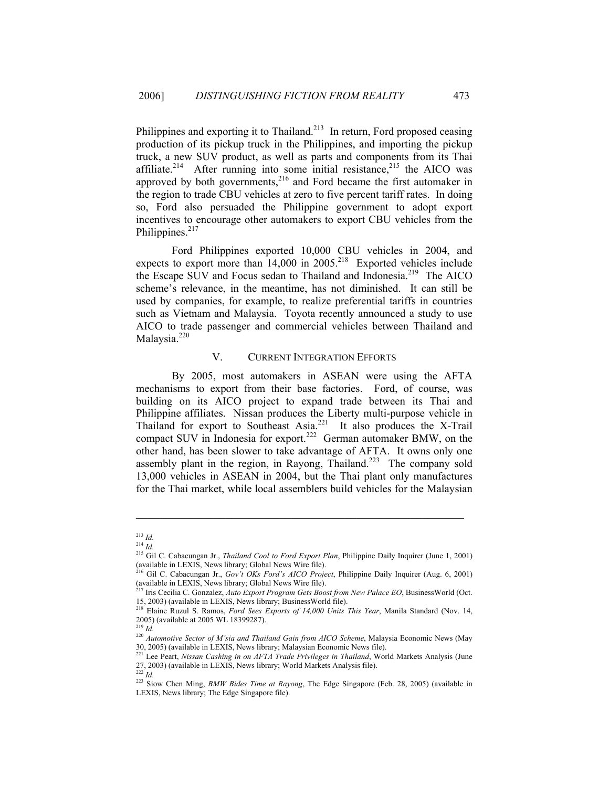Philippines and exporting it to Thailand.<sup>213</sup> In return, Ford proposed ceasing production of its pickup truck in the Philippines, and importing the pickup truck, a new SUV product, as well as parts and components from its Thai affiliate.<sup>214</sup> After running into some initial resistance,<sup>215</sup> the AICO was approved by both governments, $2^{16}$  and Ford became the first automaker in the region to trade CBU vehicles at zero to five percent tariff rates. In doing so, Ford also persuaded the Philippine government to adopt export incentives to encourage other automakers to export CBU vehicles from the Philippines. $217$ 

Ford Philippines exported 10,000 CBU vehicles in 2004, and expects to export more than  $14,000$  in  $2005.<sup>218</sup>$  Exported vehicles include the Escape SUV and Focus sedan to Thailand and Indonesia.<sup>219</sup> The AICO scheme's relevance, in the meantime, has not diminished. It can still be used by companies, for example, to realize preferential tariffs in countries such as Vietnam and Malaysia. Toyota recently announced a study to use AICO to trade passenger and commercial vehicles between Thailand and Malaysia. $220$ 

# V. CURRENT INTEGRATION EFFORTS

By 2005, most automakers in ASEAN were using the AFTA mechanisms to export from their base factories. Ford, of course, was building on its AICO project to expand trade between its Thai and Philippine affiliates. Nissan produces the Liberty multi-purpose vehicle in Thailand for export to Southeast Asia.<sup>221</sup> It also produces the X-Trail compact SUV in Indonesia for export.<sup>222</sup> German automaker BMW, on the other hand, has been slower to take advantage of AFTA. It owns only one assembly plant in the region, in Rayong, Thailand.<sup>223</sup> The company sold 13,000 vehicles in ASEAN in 2004, but the Thai plant only manufactures for the Thai market, while local assemblers build vehicles for the Malaysian

<span id="page-21-0"></span> $^{213}$  *Id.* 

<span id="page-21-1"></span><sup>214</sup> *Id.* 

<span id="page-21-2"></span><sup>215</sup> Gil C. Cabacungan Jr., *Thailand Cool to Ford Export Plan*, Philippine Daily Inquirer (June 1, 2001) (available in LEXIS, News library; Global News Wire file).

<span id="page-21-3"></span><sup>216</sup> Gil C. Cabacungan Jr., *Gov't OKs Ford's AICO Project*, Philippine Daily Inquirer (Aug. 6, 2001) (available in LEXIS, News library; Global News Wire file).

<span id="page-21-4"></span><sup>217</sup> Iris Cecilia C. Gonzalez, *Auto Export Program Gets Boost from New Palace EO*, BusinessWorld (Oct. 15, 2003) (available in LEXIS, News library; BusinessWorld file).

<span id="page-21-5"></span><sup>218</sup> Elaine Ruzul S. Ramos, *Ford Sees Exports of 14,000 Units This Year*, Manila Standard (Nov. 14, 2005) (available at 2005 WL 18399287).

<span id="page-21-6"></span> $^{219}$  *Id.* 

<span id="page-21-7"></span><sup>220</sup> *Automotive Sector of M'sia and Thailand Gain from AICO Scheme*, Malaysia Economic News (May 30, 2005) (available in LEXIS, News library; Malaysian Economic News file).

<span id="page-21-8"></span><sup>221</sup> Lee Peart, *Nissan Cashing in on AFTA Trade Privileges in Thailand*, World Markets Analysis (June 27, 2003) (available in LEXIS, News library; World Markets Analysis file).

<span id="page-21-10"></span><span id="page-21-9"></span><sup>222</sup> *Id.*

<sup>223</sup> Siow Chen Ming, *BMW Bides Time at Rayong*, The Edge Singapore (Feb. 28, 2005) (available in LEXIS, News library; The Edge Singapore file).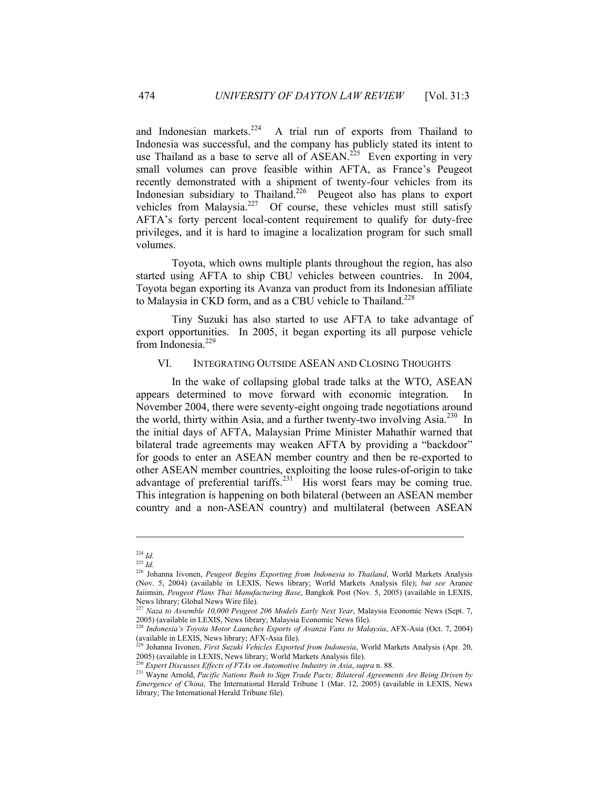and Indonesian markets.<sup>224</sup> A trial run of exports from Thailand to Indonesia was successful, and the company has publicly stated its intent to useThailand as a base to serve all of  $\widehat{ASEAN}^{225}$  Even exporting in very small volumes can prove feasible within AFTA, as France's Peugeot recently demonstrated with a shipment of twenty-four vehicles from its Indonesian subsidiary to Thailand.<sup>226</sup> Peugeot also has plans to export vehicles from Malaysia.<sup>227</sup> Of course, these vehicles must still satisfy AFTA's forty percent local-content requirement to qualify for duty-free privileges, and it is hard to imagine a localization program for such small volumes.

Toyota, which owns multiple plants throughout the region, has also started using AFTA to ship CBU vehicles between countries. In 2004, Toyota began exporting its Avanza van product from its Indonesian affiliate to Malaysia in CKD form, and as a CBU vehicle to Thailand.<sup>[228](#page-22-4)</sup>

Tiny Suzuki has also started to use AFTA to take advantage of export opportunities. In 2005, it began exporting its all purpose vehicle from Indonesia.<sup>[229](#page-22-5)</sup>

#### VI. INTEGRATING OUTSIDE ASEAN AND CLOSING THOUGHTS

In the wake of collapsing global trade talks at the WTO, ASEAN appears determined to move forward with economic integration. In November 2004, there were seventy-eight ongoing trade negotiations around the world, thirty within Asia, and a further twenty-two involving Asia.<sup>230</sup> In the initial days of AFTA, Malaysian Prime Minister Mahathir warned that bilateral trade agreements may weaken AFTA by providing a "backdoor" for goods to enter an ASEAN member country and then be re-exported to other ASEAN member countries, exploiting the loose rules-of-origin to take advantage of preferential tariffs.<sup>231</sup> His worst fears may be coming true. This integration is happening on both bilateral (between an ASEAN member country and a non-ASEAN country) and multilateral (between ASEAN

<span id="page-22-0"></span> $224$  *Id.* 

<span id="page-22-1"></span><sup>225</sup> *Id.*

<span id="page-22-2"></span><sup>226</sup> Johanna Iivonen, *Peugeot Begins Exporting from Indonesia to Thailand*, World Markets Analysis (Nov. 5, 2004) (available in LEXIS, News library; World Markets Analysis file); *but see* Aranee Jaiimsin, *Peugeot Plans Thai Manufacturing Base*, Bangkok Post (Nov. 5, 2005) (available in LEXIS, News library; Global News Wire file).

<span id="page-22-3"></span><sup>&</sup>lt;sup>227</sup> *Naza to Assemble 10,000 Peugeot 206 Models Early Next Year*, Malaysia Economic News (Sept. 7, 2005) (available in LEXIS, News library; Malaysia Economic News file).

<span id="page-22-4"></span><sup>&</sup>lt;sup>228</sup> Indonesia's Toyota Motor Launches Exports of Avanza Vans to Malaysia, AFX-Asia (Oct. 7, 2004) (available in LEXIS, News library; AFX-Asia file).

<span id="page-22-5"></span><sup>229</sup> Johanna Iivonen, *First Suzuki Vehicles Exported from Indonesia*, World Markets Analysis (Apr. 20, 2005) (available in LEXIS, News library; World Markets Analysis file).<br><sup>230</sup> Expert Discusses Effects of FTAs on Automotive Industry in Asia, supra n. 88.

<span id="page-22-7"></span><span id="page-22-6"></span>

<sup>&</sup>lt;sup>231</sup> Wavne Arnold, *Pacific Nations Rush to Sign Trade Pacts; Bilateral Agreements Are Being Driven by Emergence of China*, The International Herald Tribune 1 (Mar. 12, 2005) (available in LEXIS, News library; The International Herald Tribune file).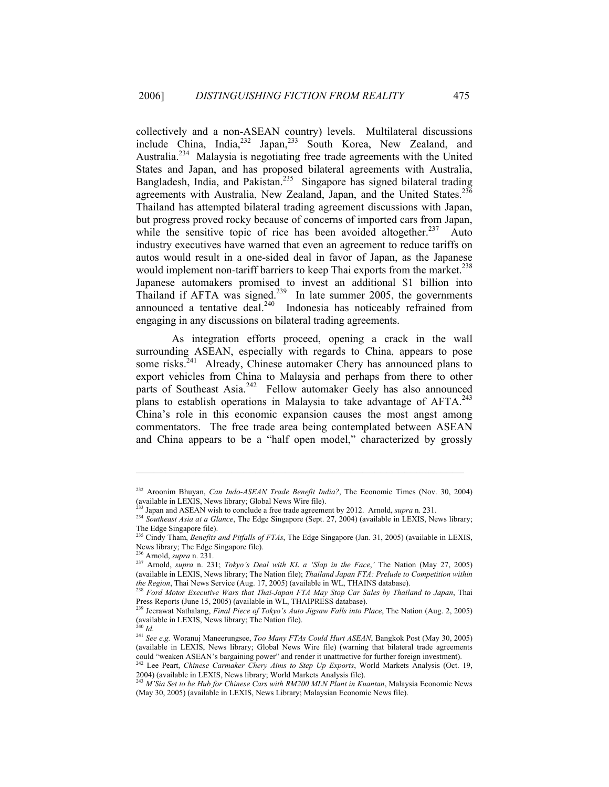collectively and a non-ASEAN country) levels. Multilateral discussions include China, India, <sup>232</sup> Japan,<sup>233</sup> South Korea, New Zealand, and Australia.<sup>234</sup>Malaysia is negotiating free trade agreements with the United States and Japan, and has proposed bilateral agreements with Australia, Bangladesh, India, and Pakistan.<sup>235</sup> Singapore has signed bilateral trading agreements with Australia, New Zealand, Japan, and the United States.<sup>236</sup> Thailand has attempted bilateral trading agreement discussions with Japan, but progress proved rocky because of concerns of imported cars from Japan, while the sensitive topic of rice has been avoided altogether.<sup>237</sup> Auto industry executives have warned that even an agreement to reduce tariffs on autos would result in a one-sided deal in favor of Japan, as the Japanese would implement non-tariff barriers to keep Thai exports from the market[.](#page-23-6)<sup>238</sup> Japanese automakers promised to invest an additional \$1 billion into Thailand if AFTA was signed.<sup>239</sup> In late summer 2005, the governments announced a tentative deal. $240$  Indonesia has noticeably refrained from engaging in any discussions on bilateral trading agreements.

As integration efforts proceed, opening a crack in the wall surrounding ASEAN, especially with regards to China, appears to pose some risks.<sup>241</sup> Already, Chinese automaker Chery has announced plans to export vehicles from China to Malaysia and perhaps from there to other parts of Southeast Asia.<sup>242</sup> Fellow automaker Geely has also announced plans to establish operations in Malaysia to take advantage of AFTA.<sup>243</sup> China's role in this economic expansion causes the most angst among commentators. The free trade area being contemplated between ASEAN and China appears to be a "half open model," characterized by grossly

<span id="page-23-0"></span><sup>232</sup> Aroonim Bhuyan, *Can Indo-ASEAN Trade Benefit India?*, The Economic Times (Nov. 30, 2004) (available in LEXIS, News library; Global News Wire file).<br><sup>233</sup> Japan and ASEAN wish to conclude a free trade agreement by 2012. Arnold, *supra* n. 231.

<span id="page-23-1"></span>

<span id="page-23-2"></span><sup>&</sup>lt;sup>234</sup> Southeast Asia at a Glance, The Edge Singapore (Sept. 27, 2004) (available in LEXIS, News library; The Edge Singapore file).

<span id="page-23-3"></span><sup>235</sup> Cindy Tham, *Benefits and Pitfalls of FTAs*, The Edge Singapore (Jan. 31, 2005) (available in LEXIS, News library; The Edge Singapore file).<br><sup>236</sup> Arnold, *supra* n. 231.

<span id="page-23-4"></span>

<span id="page-23-5"></span><sup>236</sup> Arnold, *supra* n. 231. 237 Arnold, *supra* n. 231; *Tokyo's Deal with KL a 'Slap in the Face*,*'* The Nation (May 27, 2005) (available in LEXIS, News library; The Nation file); *Thailand Japan FTA: Prelude to Competition within* 

<span id="page-23-6"></span>*the Region*, Thai News Wars Service (Aug. 17, 2006) (Aug. 17, 2006). Thailand in Warsh, Thaird in Western Executive Wars that Thai-Japan FTA May Stop Car Sales by Thailand to Japan, Thaird 1888. Press Reports (June 15, 2005) (available in WL, THAIPRESS database). 239 Jeerawat Nathalang, *Final Piece of Tokyo's Auto Jigsaw Falls into Place*, The Nation (Aug. 2, 2005)

<span id="page-23-7"></span><sup>(</sup>available in LEXIS, News library; The Nation file).

<span id="page-23-8"></span><sup>240</sup> *Id.* 

<span id="page-23-9"></span><sup>241</sup> *See e.g.* Woranuj Maneerungsee, *Too Many FTAs Could Hurt ASEAN*, Bangkok Post (May 30, 2005) (available in LEXIS, News library; Global News Wire file) (warning that bilateral trade agreements could "weaken ASEAN's bargaining power" and render it unattractive for further foreign investment).

<span id="page-23-10"></span><sup>&</sup>lt;sup>242</sup> Lee Peart, *Chinese Carmaker Chery Aims to Step Up Exports*, World Markets Analysis (Oct. 19, 2004) (available in LEXIS, News library; World Markets Analysis file).

<span id="page-23-11"></span><sup>&</sup>lt;sup>243</sup> M'Sia Set to be Hub for Chinese Cars with RM200 MLN Plant in Kuantan, Malaysia Economic News (May 30, 2005) (available in LEXIS, News Library; Malaysian Economic News file).